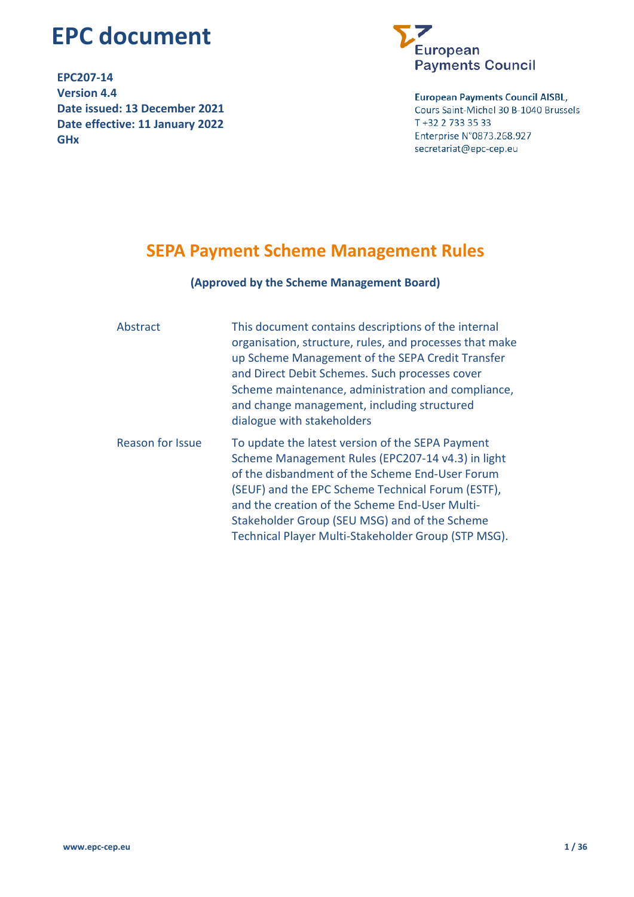# **EPC document**

**EPC207-14 Version 4.4 Date issued: 13 December 2021 Date effective: 11 January 2022 GHx**



**European Payments Council AISBL,** Cours Saint-Michel 30 B-1040 Brussels T +32 2 733 35 33 Enterprise N°0873.268.927 secretariat@epc-cep.eu

# **SEPA Payment Scheme Management Rules**

#### **(Approved by the Scheme Management Board)**

| Abstract         | This document contains descriptions of the internal<br>organisation, structure, rules, and processes that make<br>up Scheme Management of the SEPA Credit Transfer<br>and Direct Debit Schemes. Such processes cover<br>Scheme maintenance, administration and compliance,<br>and change management, including structured<br>dialogue with stakeholders                 |
|------------------|-------------------------------------------------------------------------------------------------------------------------------------------------------------------------------------------------------------------------------------------------------------------------------------------------------------------------------------------------------------------------|
| Reason for Issue | To update the latest version of the SEPA Payment<br>Scheme Management Rules (EPC207-14 v4.3) in light<br>of the disbandment of the Scheme End-User Forum<br>(SEUF) and the EPC Scheme Technical Forum (ESTF),<br>and the creation of the Scheme End-User Multi-<br>Stakeholder Group (SEU MSG) and of the Scheme<br>Technical Player Multi-Stakeholder Group (STP MSG). |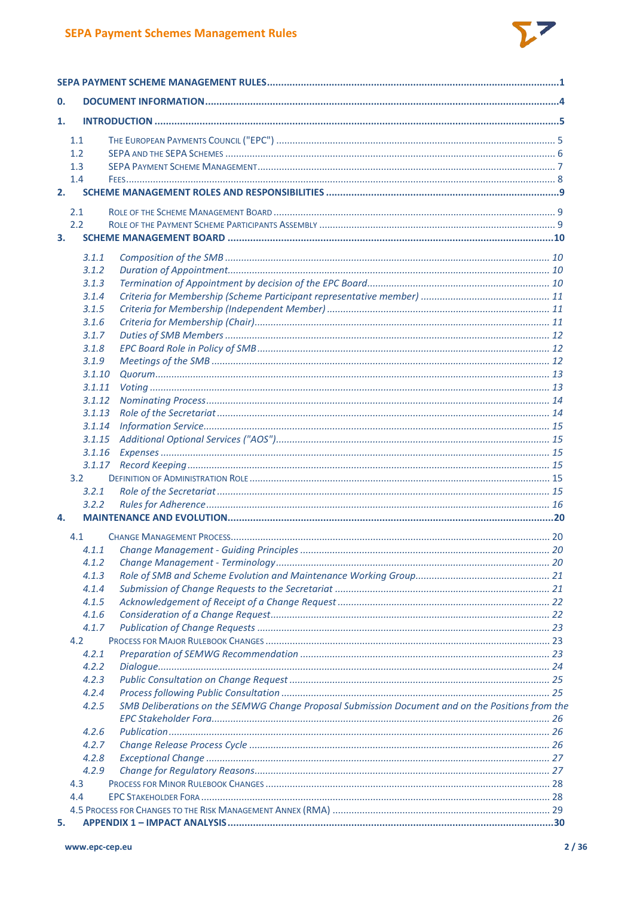

| $\mathbf{0}$ |                  |                                                                                                  |  |
|--------------|------------------|--------------------------------------------------------------------------------------------------|--|
| 1.           |                  |                                                                                                  |  |
|              | 1.1              |                                                                                                  |  |
|              | 1.2              |                                                                                                  |  |
|              | 1.3              |                                                                                                  |  |
|              | 1.4              |                                                                                                  |  |
|              | 2.               |                                                                                                  |  |
|              | 2.1              |                                                                                                  |  |
|              | 2.2              |                                                                                                  |  |
| 3.           |                  |                                                                                                  |  |
|              |                  |                                                                                                  |  |
|              | 3.1.1            |                                                                                                  |  |
|              | 3.1.2            |                                                                                                  |  |
|              | 3.1.3            |                                                                                                  |  |
|              | 3.1.4            |                                                                                                  |  |
|              | 3.1.5            |                                                                                                  |  |
|              | 3.1.6            |                                                                                                  |  |
|              | 3.1.7            |                                                                                                  |  |
|              | 3.1.8            |                                                                                                  |  |
|              | 3.1.9            |                                                                                                  |  |
|              | 3.1.10           |                                                                                                  |  |
|              | 3.1.11           |                                                                                                  |  |
|              | 3.1.12           |                                                                                                  |  |
|              | 3.1.13           |                                                                                                  |  |
|              | 3.1.14           |                                                                                                  |  |
|              | 3.1.15<br>3.1.16 |                                                                                                  |  |
|              |                  |                                                                                                  |  |
|              | 3.2              |                                                                                                  |  |
|              | 3.2.1            |                                                                                                  |  |
|              | 3.2.2            |                                                                                                  |  |
| 4.           |                  |                                                                                                  |  |
|              |                  |                                                                                                  |  |
|              | 4.1              |                                                                                                  |  |
|              | 4.1.1            |                                                                                                  |  |
|              | 4.1.2            |                                                                                                  |  |
|              | 4.1.3            |                                                                                                  |  |
|              | 4.1.4            |                                                                                                  |  |
|              | 4.1.5            |                                                                                                  |  |
|              | 4.1.6            |                                                                                                  |  |
|              | 4.1.7<br>4.2     |                                                                                                  |  |
|              | 4.2.1            |                                                                                                  |  |
|              | 4.2.2            |                                                                                                  |  |
|              | 4.2.3            |                                                                                                  |  |
|              | 4.2.4            |                                                                                                  |  |
|              | 4.2.5            | SMB Deliberations on the SEMWG Change Proposal Submission Document and on the Positions from the |  |
|              |                  |                                                                                                  |  |
|              | 4.2.6            |                                                                                                  |  |
|              | 4.2.7            |                                                                                                  |  |
|              | 4.2.8            |                                                                                                  |  |
|              | 4.2.9            |                                                                                                  |  |
|              | 4.3              |                                                                                                  |  |
|              | 4.4              |                                                                                                  |  |
|              |                  |                                                                                                  |  |
| 5.           |                  |                                                                                                  |  |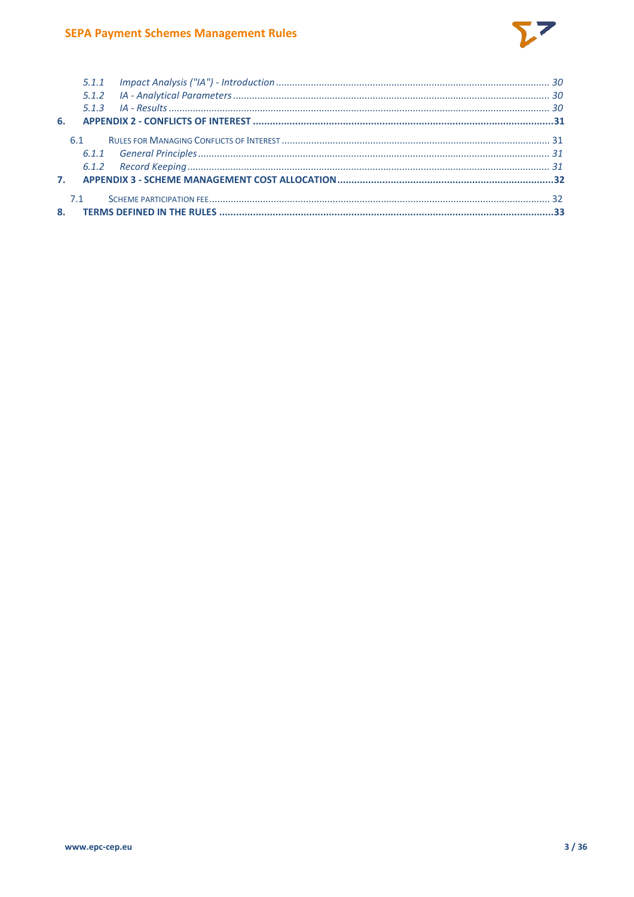

| 61  |  |
|-----|--|
|     |  |
|     |  |
|     |  |
| 7.1 |  |
|     |  |
|     |  |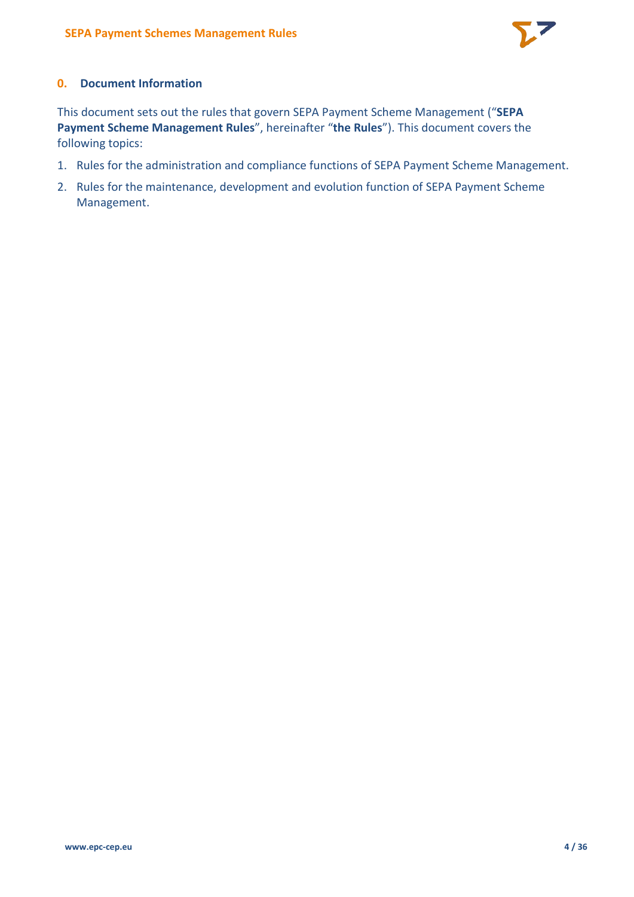

# **0. Document Information**

This document sets out the rules that govern SEPA Payment Scheme Management ("**SEPA Payment Scheme Management Rules**", hereinafter "**the Rules**"). This document covers the following topics:

- 1. Rules for the administration and compliance functions of SEPA Payment Scheme Management.
- 2. Rules for the maintenance, development and evolution function of SEPA Payment Scheme Management.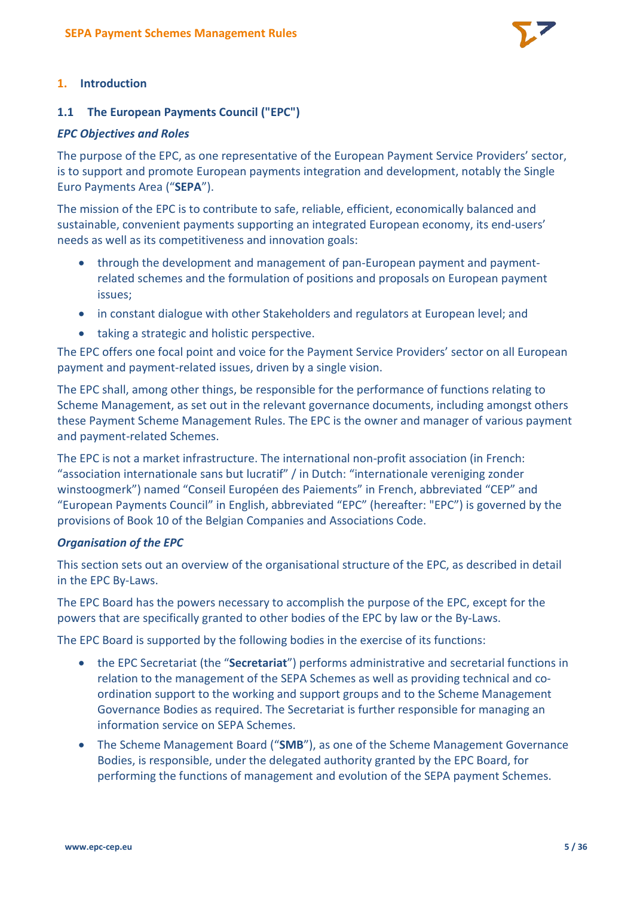

#### **1. Introduction**

#### **1.1 The European Payments Council ("EPC")**

#### *EPC Objectives and Roles*

The purpose of the EPC, as one representative of the European Payment Service Providers' sector, is to support and promote European payments integration and development, notably the Single Euro Payments Area ("**SEPA**").

The mission of the EPC is to contribute to safe, reliable, efficient, economically balanced and sustainable, convenient payments supporting an integrated European economy, its end-users' needs as well as its competitiveness and innovation goals:

- through the development and management of pan-European payment and paymentrelated schemes and the formulation of positions and proposals on European payment issues;
- in constant dialogue with other Stakeholders and regulators at European level; and
- taking a strategic and holistic perspective.

The EPC offers one focal point and voice for the Payment Service Providers' sector on all European payment and payment-related issues, driven by a single vision.

The EPC shall, among other things, be responsible for the performance of functions relating to Scheme Management, as set out in the relevant governance documents, including amongst others these Payment Scheme Management Rules. The EPC is the owner and manager of various payment and payment-related Schemes.

The EPC is not a market infrastructure. The international non-profit association (in French: "association internationale sans but lucratif" / in Dutch: "internationale vereniging zonder winstoogmerk") named "Conseil Européen des Paiements" in French, abbreviated "CEP" and "European Payments Council" in English, abbreviated "EPC" (hereafter: "EPC") is governed by the provisions of Book 10 of the Belgian Companies and Associations Code.

#### *Organisation of the EPC*

This section sets out an overview of the organisational structure of the EPC, as described in detail in the EPC By-Laws.

The EPC Board has the powers necessary to accomplish the purpose of the EPC, except for the powers that are specifically granted to other bodies of the EPC by law or the By-Laws.

The EPC Board is supported by the following bodies in the exercise of its functions:

- the EPC Secretariat (the "**Secretariat**") performs administrative and secretarial functions in relation to the management of the SEPA Schemes as well as providing technical and coordination support to the working and support groups and to the Scheme Management Governance Bodies as required. The Secretariat is further responsible for managing an information service on SEPA Schemes.
- The Scheme Management Board ("**SMB**"), as one of the Scheme Management Governance Bodies, is responsible, under the delegated authority granted by the EPC Board, for performing the functions of management and evolution of the SEPA payment Schemes.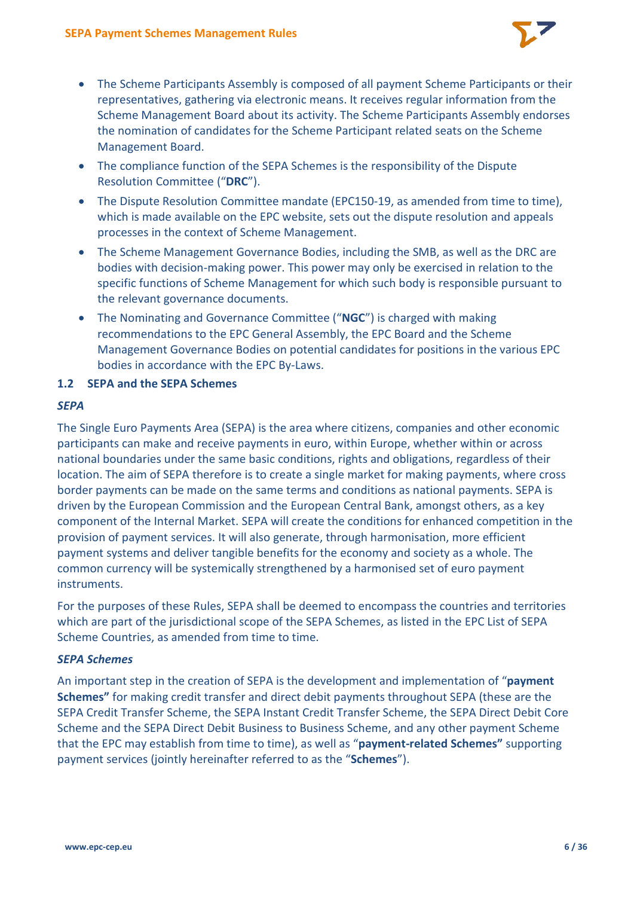

- The Scheme Participants Assembly is composed of all payment Scheme Participants or their representatives, gathering via electronic means. It receives regular information from the Scheme Management Board about its activity. The Scheme Participants Assembly endorses the nomination of candidates for the Scheme Participant related seats on the Scheme Management Board.
- The compliance function of the SEPA Schemes is the responsibility of the Dispute Resolution Committee ("**DRC**").
- The Dispute Resolution Committee mandate (EPC150-19, as amended from time to time), which is made available on the EPC website, sets out the dispute resolution and appeals processes in the context of Scheme Management.
- The Scheme Management Governance Bodies, including the SMB, as well as the DRC are bodies with decision-making power. This power may only be exercised in relation to the specific functions of Scheme Management for which such body is responsible pursuant to the relevant governance documents.
- The Nominating and Governance Committee ("**NGC**") is charged with making recommendations to the EPC General Assembly, the EPC Board and the Scheme Management Governance Bodies on potential candidates for positions in the various EPC bodies in accordance with the EPC By-Laws.

# **1.2 SEPA and the SEPA Schemes**

## *SEPA*

The Single Euro Payments Area (SEPA) is the area where citizens, companies and other economic participants can make and receive payments in euro, within Europe, whether within or across national boundaries under the same basic conditions, rights and obligations, regardless of their location. The aim of SEPA therefore is to create a single market for making payments, where cross border payments can be made on the same terms and conditions as national payments. SEPA is driven by the European Commission and the European Central Bank, amongst others, as a key component of the Internal Market. SEPA will create the conditions for enhanced competition in the provision of payment services. It will also generate, through harmonisation, more efficient payment systems and deliver tangible benefits for the economy and society as a whole. The common currency will be systemically strengthened by a harmonised set of euro payment instruments.

For the purposes of these Rules, SEPA shall be deemed to encompass the countries and territories which are part of the jurisdictional scope of the SEPA Schemes, as listed in the EPC List of SEPA Scheme Countries, as amended from time to time.

## *SEPA Schemes*

An important step in the creation of SEPA is the development and implementation of "**payment Schemes"** for making credit transfer and direct debit payments throughout SEPA (these are the SEPA Credit Transfer Scheme, the SEPA Instant Credit Transfer Scheme, the SEPA Direct Debit Core Scheme and the SEPA Direct Debit Business to Business Scheme, and any other payment Scheme that the EPC may establish from time to time), as well as "**payment-related Schemes"** supporting payment services (jointly hereinafter referred to as the "**Schemes**").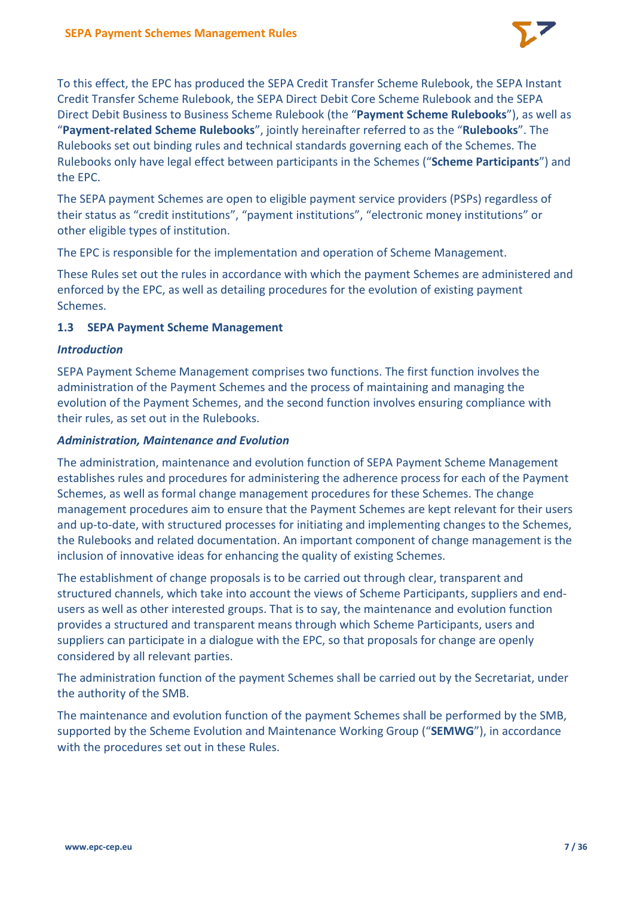

To this effect, the EPC has produced the SEPA Credit Transfer Scheme Rulebook, the SEPA Instant Credit Transfer Scheme Rulebook, the SEPA Direct Debit Core Scheme Rulebook and the SEPA Direct Debit Business to Business Scheme Rulebook (the "**Payment Scheme Rulebooks**"), as well as "**Payment-related Scheme Rulebooks**", jointly hereinafter referred to as the "**Rulebooks**". The Rulebooks set out binding rules and technical standards governing each of the Schemes. The Rulebooks only have legal effect between participants in the Schemes ("**Scheme Participants**") and the EPC.

The SEPA payment Schemes are open to eligible payment service providers (PSPs) regardless of their status as "credit institutions", "payment institutions", "electronic money institutions" or other eligible types of institution.

The EPC is responsible for the implementation and operation of Scheme Management.

These Rules set out the rules in accordance with which the payment Schemes are administered and enforced by the EPC, as well as detailing procedures for the evolution of existing payment Schemes.

# **1.3 SEPA Payment Scheme Management**

#### *Introduction*

SEPA Payment Scheme Management comprises two functions. The first function involves the administration of the Payment Schemes and the process of maintaining and managing the evolution of the Payment Schemes, and the second function involves ensuring compliance with their rules, as set out in the Rulebooks.

#### *Administration, Maintenance and Evolution*

The administration, maintenance and evolution function of SEPA Payment Scheme Management establishes rules and procedures for administering the adherence process for each of the Payment Schemes, as well as formal change management procedures for these Schemes. The change management procedures aim to ensure that the Payment Schemes are kept relevant for their users and up-to-date, with structured processes for initiating and implementing changes to the Schemes, the Rulebooks and related documentation. An important component of change management is the inclusion of innovative ideas for enhancing the quality of existing Schemes.

The establishment of change proposals is to be carried out through clear, transparent and structured channels, which take into account the views of Scheme Participants, suppliers and endusers as well as other interested groups. That is to say, the maintenance and evolution function provides a structured and transparent means through which Scheme Participants, users and suppliers can participate in a dialogue with the EPC, so that proposals for change are openly considered by all relevant parties.

The administration function of the payment Schemes shall be carried out by the Secretariat, under the authority of the SMB.

The maintenance and evolution function of the payment Schemes shall be performed by the SMB, supported by the Scheme Evolution and Maintenance Working Group ("**SEMWG**"), in accordance with the procedures set out in these Rules.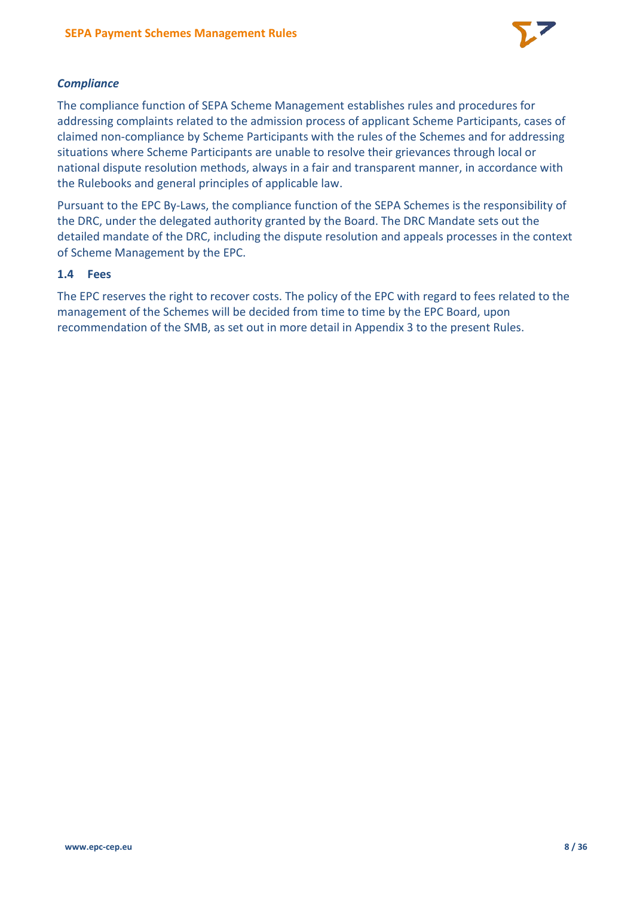

# *Compliance*

The compliance function of SEPA Scheme Management establishes rules and procedures for addressing complaints related to the admission process of applicant Scheme Participants, cases of claimed non-compliance by Scheme Participants with the rules of the Schemes and for addressing situations where Scheme Participants are unable to resolve their grievances through local or national dispute resolution methods, always in a fair and transparent manner, in accordance with the Rulebooks and general principles of applicable law.

Pursuant to the EPC By-Laws, the compliance function of the SEPA Schemes is the responsibility of the DRC, under the delegated authority granted by the Board. The DRC Mandate sets out the detailed mandate of the DRC, including the dispute resolution and appeals processes in the context of Scheme Management by the EPC.

## **1.4 Fees**

The EPC reserves the right to recover costs. The policy of the EPC with regard to fees related to the management of the Schemes will be decided from time to time by the EPC Board, upon recommendation of the SMB, as set out in more detail in Appendix 3 to the present Rules.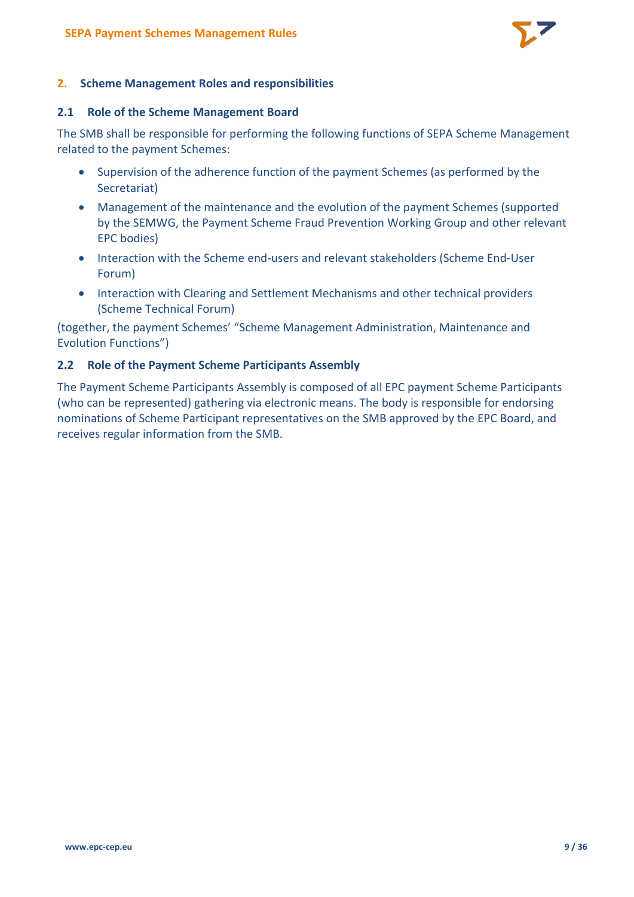

#### **2. Scheme Management Roles and responsibilities**

#### **2.1 Role of the Scheme Management Board**

The SMB shall be responsible for performing the following functions of SEPA Scheme Management related to the payment Schemes:

- Supervision of the adherence function of the payment Schemes (as performed by the Secretariat)
- Management of the maintenance and the evolution of the payment Schemes (supported by the SEMWG, the Payment Scheme Fraud Prevention Working Group and other relevant EPC bodies)
- Interaction with the Scheme end-users and relevant stakeholders (Scheme End-User Forum)
- Interaction with Clearing and Settlement Mechanisms and other technical providers (Scheme Technical Forum)

(together, the payment Schemes' "Scheme Management Administration, Maintenance and Evolution Functions")

## **2.2 Role of the Payment Scheme Participants Assembly**

The Payment Scheme Participants Assembly is composed of all EPC payment Scheme Participants (who can be represented) gathering via electronic means. The body is responsible for endorsing nominations of Scheme Participant representatives on the SMB approved by the EPC Board, and receives regular information from the SMB.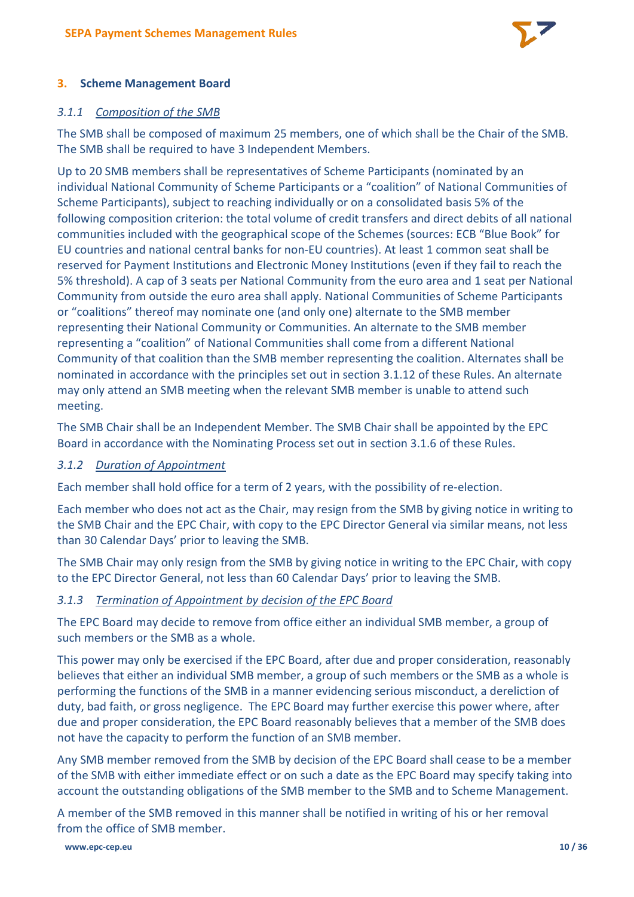

# **3. Scheme Management Board**

## *3.1.1 Composition of the SMB*

The SMB shall be composed of maximum 25 members, one of which shall be the Chair of the SMB. The SMB shall be required to have 3 Independent Members.

Up to 20 SMB members shall be representatives of Scheme Participants (nominated by an individual National Community of Scheme Participants or a "coalition" of National Communities of Scheme Participants), subject to reaching individually or on a consolidated basis 5% of the following composition criterion: the total volume of credit transfers and direct debits of all national communities included with the geographical scope of the Schemes (sources: ECB "Blue Book" for EU countries and national central banks for non-EU countries). At least 1 common seat shall be reserved for Payment Institutions and Electronic Money Institutions (even if they fail to reach the 5% threshold). A cap of 3 seats per National Community from the euro area and 1 seat per National Community from outside the euro area shall apply. National Communities of Scheme Participants or "coalitions" thereof may nominate one (and only one) alternate to the SMB member representing their National Community or Communities. An alternate to the SMB member representing a "coalition" of National Communities shall come from a different National Community of that coalition than the SMB member representing the coalition. Alternates shall be nominated in accordance with the principles set out in section 3.1.12 of these Rules. An alternate may only attend an SMB meeting when the relevant SMB member is unable to attend such meeting.

The SMB Chair shall be an Independent Member. The SMB Chair shall be appointed by the EPC Board in accordance with the Nominating Process set out in section 3.1.6 of these Rules.

#### *3.1.2 Duration of Appointment*

Each member shall hold office for a term of 2 years, with the possibility of re-election.

Each member who does not act as the Chair, may resign from the SMB by giving notice in writing to the SMB Chair and the EPC Chair, with copy to the EPC Director General via similar means, not less than 30 Calendar Days' prior to leaving the SMB.

The SMB Chair may only resign from the SMB by giving notice in writing to the EPC Chair, with copy to the EPC Director General, not less than 60 Calendar Days' prior to leaving the SMB.

#### *3.1.3 Termination of Appointment by decision of the EPC Board*

The EPC Board may decide to remove from office either an individual SMB member, a group of such members or the SMB as a whole.

This power may only be exercised if the EPC Board, after due and proper consideration, reasonably believes that either an individual SMB member, a group of such members or the SMB as a whole is performing the functions of the SMB in a manner evidencing serious misconduct, a dereliction of duty, bad faith, or gross negligence. The EPC Board may further exercise this power where, after due and proper consideration, the EPC Board reasonably believes that a member of the SMB does not have the capacity to perform the function of an SMB member.

Any SMB member removed from the SMB by decision of the EPC Board shall cease to be a member of the SMB with either immediate effect or on such a date as the EPC Board may specify taking into account the outstanding obligations of the SMB member to the SMB and to Scheme Management.

A member of the SMB removed in this manner shall be notified in writing of his or her removal from the office of SMB member.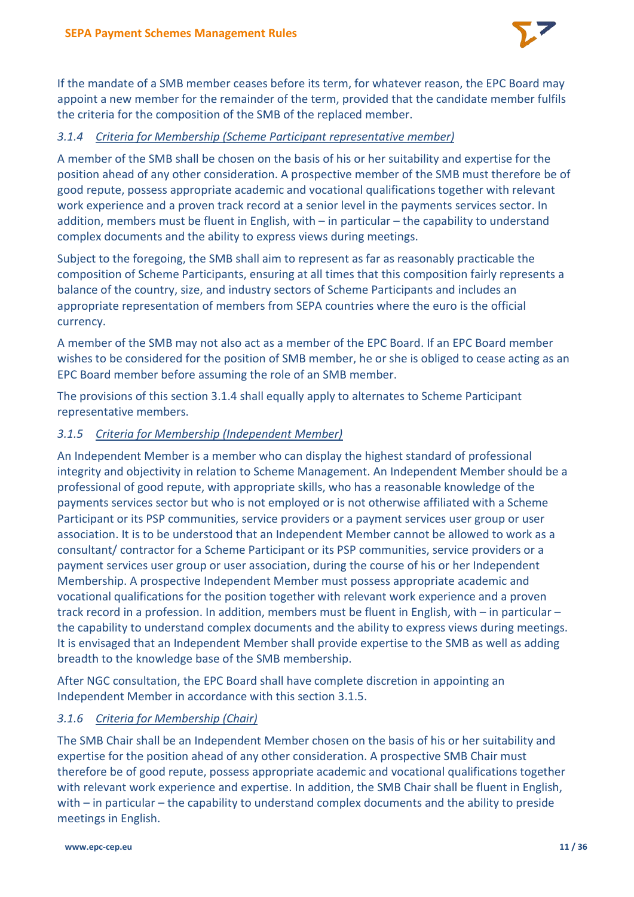

If the mandate of a SMB member ceases before its term, for whatever reason, the EPC Board may appoint a new member for the remainder of the term, provided that the candidate member fulfils the criteria for the composition of the SMB of the replaced member.

# *3.1.4 Criteria for Membership (Scheme Participant representative member)*

A member of the SMB shall be chosen on the basis of his or her suitability and expertise for the position ahead of any other consideration. A prospective member of the SMB must therefore be of good repute, possess appropriate academic and vocational qualifications together with relevant work experience and a proven track record at a senior level in the payments services sector. In addition, members must be fluent in English, with – in particular – the capability to understand complex documents and the ability to express views during meetings.

Subject to the foregoing, the SMB shall aim to represent as far as reasonably practicable the composition of Scheme Participants, ensuring at all times that this composition fairly represents a balance of the country, size, and industry sectors of Scheme Participants and includes an appropriate representation of members from SEPA countries where the euro is the official currency.

A member of the SMB may not also act as a member of the EPC Board. If an EPC Board member wishes to be considered for the position of SMB member, he or she is obliged to cease acting as an EPC Board member before assuming the role of an SMB member.

The provisions of this section 3.1.4 shall equally apply to alternates to Scheme Participant representative members.

# *3.1.5 Criteria for Membership (Independent Member)*

An Independent Member is a member who can display the highest standard of professional integrity and objectivity in relation to Scheme Management. An Independent Member should be a professional of good repute, with appropriate skills, who has a reasonable knowledge of the payments services sector but who is not employed or is not otherwise affiliated with a Scheme Participant or its PSP communities, service providers or a payment services user group or user association. It is to be understood that an Independent Member cannot be allowed to work as a consultant/ contractor for a Scheme Participant or its PSP communities, service providers or a payment services user group or user association, during the course of his or her Independent Membership. A prospective Independent Member must possess appropriate academic and vocational qualifications for the position together with relevant work experience and a proven track record in a profession. In addition, members must be fluent in English, with – in particular – the capability to understand complex documents and the ability to express views during meetings. It is envisaged that an Independent Member shall provide expertise to the SMB as well as adding breadth to the knowledge base of the SMB membership.

After NGC consultation, the EPC Board shall have complete discretion in appointing an Independent Member in accordance with this section 3.1.5.

## *3.1.6 Criteria for Membership (Chair)*

The SMB Chair shall be an Independent Member chosen on the basis of his or her suitability and expertise for the position ahead of any other consideration. A prospective SMB Chair must therefore be of good repute, possess appropriate academic and vocational qualifications together with relevant work experience and expertise. In addition, the SMB Chair shall be fluent in English, with – in particular – the capability to understand complex documents and the ability to preside meetings in English.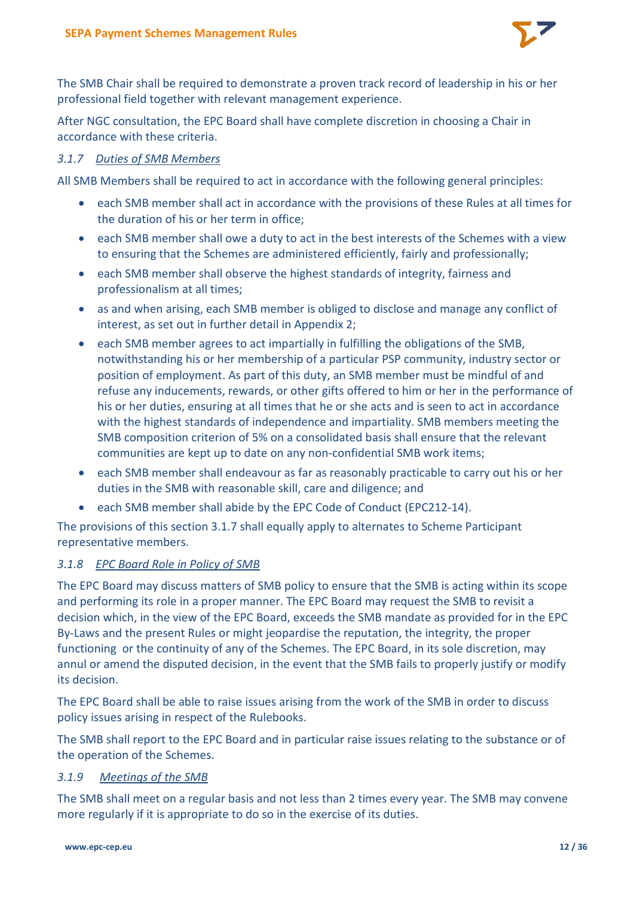

The SMB Chair shall be required to demonstrate a proven track record of leadership in his or her professional field together with relevant management experience.

After NGC consultation, the EPC Board shall have complete discretion in choosing a Chair in accordance with these criteria.

#### *3.1.7 Duties of SMB Members*

All SMB Members shall be required to act in accordance with the following general principles:

- each SMB member shall act in accordance with the provisions of these Rules at all times for the duration of his or her term in office;
- each SMB member shall owe a duty to act in the best interests of the Schemes with a view to ensuring that the Schemes are administered efficiently, fairly and professionally;
- each SMB member shall observe the highest standards of integrity, fairness and professionalism at all times;
- as and when arising, each SMB member is obliged to disclose and manage any conflict of interest, as set out in further detail in Appendix 2;
- each SMB member agrees to act impartially in fulfilling the obligations of the SMB, notwithstanding his or her membership of a particular PSP community, industry sector or position of employment. As part of this duty, an SMB member must be mindful of and refuse any inducements, rewards, or other gifts offered to him or her in the performance of his or her duties, ensuring at all times that he or she acts and is seen to act in accordance with the highest standards of independence and impartiality. SMB members meeting the SMB composition criterion of 5% on a consolidated basis shall ensure that the relevant communities are kept up to date on any non-confidential SMB work items;
- each SMB member shall endeavour as far as reasonably practicable to carry out his or her duties in the SMB with reasonable skill, care and diligence; and
- each SMB member shall abide by the EPC Code of Conduct (EPC212-14).

The provisions of this section 3.1.7 shall equally apply to alternates to Scheme Participant representative members.

## *3.1.8 EPC Board Role in Policy of SMB*

The EPC Board may discuss matters of SMB policy to ensure that the SMB is acting within its scope and performing its role in a proper manner. The EPC Board may request the SMB to revisit a decision which, in the view of the EPC Board, exceeds the SMB mandate as provided for in the EPC By-Laws and the present Rules or might jeopardise the reputation, the integrity, the proper functioning or the continuity of any of the Schemes. The EPC Board, in its sole discretion, may annul or amend the disputed decision, in the event that the SMB fails to properly justify or modify its decision.

The EPC Board shall be able to raise issues arising from the work of the SMB in order to discuss policy issues arising in respect of the Rulebooks.

The SMB shall report to the EPC Board and in particular raise issues relating to the substance or of the operation of the Schemes.

#### *3.1.9 Meetings of the SMB*

The SMB shall meet on a regular basis and not less than 2 times every year. The SMB may convene more regularly if it is appropriate to do so in the exercise of its duties.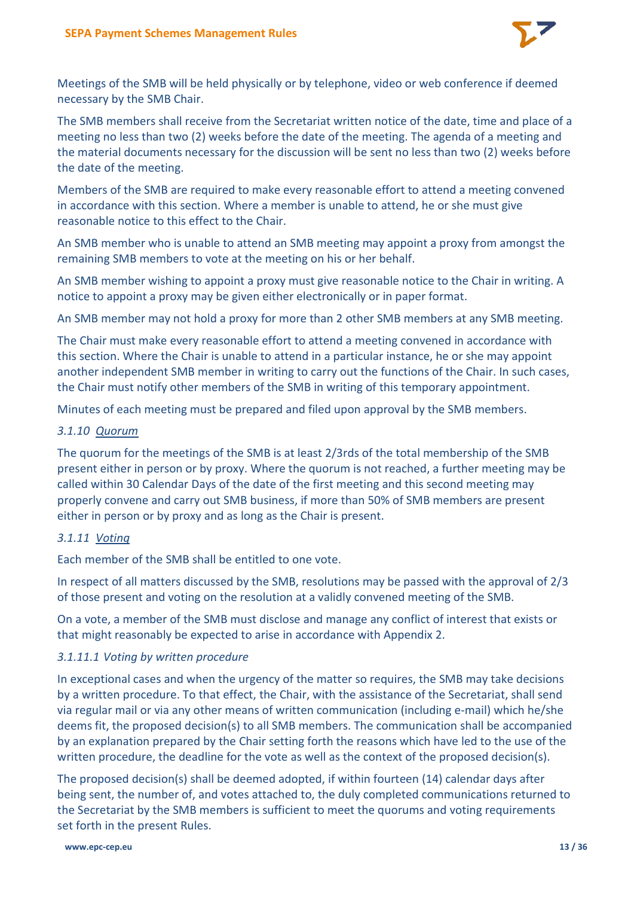

Meetings of the SMB will be held physically or by telephone, video or web conference if deemed necessary by the SMB Chair.

The SMB members shall receive from the Secretariat written notice of the date, time and place of a meeting no less than two (2) weeks before the date of the meeting. The agenda of a meeting and the material documents necessary for the discussion will be sent no less than two (2) weeks before the date of the meeting.

Members of the SMB are required to make every reasonable effort to attend a meeting convened in accordance with this section. Where a member is unable to attend, he or she must give reasonable notice to this effect to the Chair.

An SMB member who is unable to attend an SMB meeting may appoint a proxy from amongst the remaining SMB members to vote at the meeting on his or her behalf.

An SMB member wishing to appoint a proxy must give reasonable notice to the Chair in writing. A notice to appoint a proxy may be given either electronically or in paper format.

An SMB member may not hold a proxy for more than 2 other SMB members at any SMB meeting.

The Chair must make every reasonable effort to attend a meeting convened in accordance with this section. Where the Chair is unable to attend in a particular instance, he or she may appoint another independent SMB member in writing to carry out the functions of the Chair. In such cases, the Chair must notify other members of the SMB in writing of this temporary appointment.

Minutes of each meeting must be prepared and filed upon approval by the SMB members.

#### *3.1.10 Quorum*

The quorum for the meetings of the SMB is at least 2/3rds of the total membership of the SMB present either in person or by proxy. Where the quorum is not reached, a further meeting may be called within 30 Calendar Days of the date of the first meeting and this second meeting may properly convene and carry out SMB business, if more than 50% of SMB members are present either in person or by proxy and as long as the Chair is present.

## *3.1.11 Voting*

Each member of the SMB shall be entitled to one vote.

In respect of all matters discussed by the SMB, resolutions may be passed with the approval of 2/3 of those present and voting on the resolution at a validly convened meeting of the SMB.

On a vote, a member of the SMB must disclose and manage any conflict of interest that exists or that might reasonably be expected to arise in accordance with Appendix 2.

## *3.1.11.1 Voting by written procedure*

In exceptional cases and when the urgency of the matter so requires, the SMB may take decisions by a written procedure. To that effect, the Chair, with the assistance of the Secretariat, shall send via regular mail or via any other means of written communication (including e-mail) which he/she deems fit, the proposed decision(s) to all SMB members. The communication shall be accompanied by an explanation prepared by the Chair setting forth the reasons which have led to the use of the written procedure, the deadline for the vote as well as the context of the proposed decision(s).

The proposed decision(s) shall be deemed adopted, if within fourteen (14) calendar days after being sent, the number of, and votes attached to, the duly completed communications returned to the Secretariat by the SMB members is sufficient to meet the quorums and voting requirements set forth in the present Rules.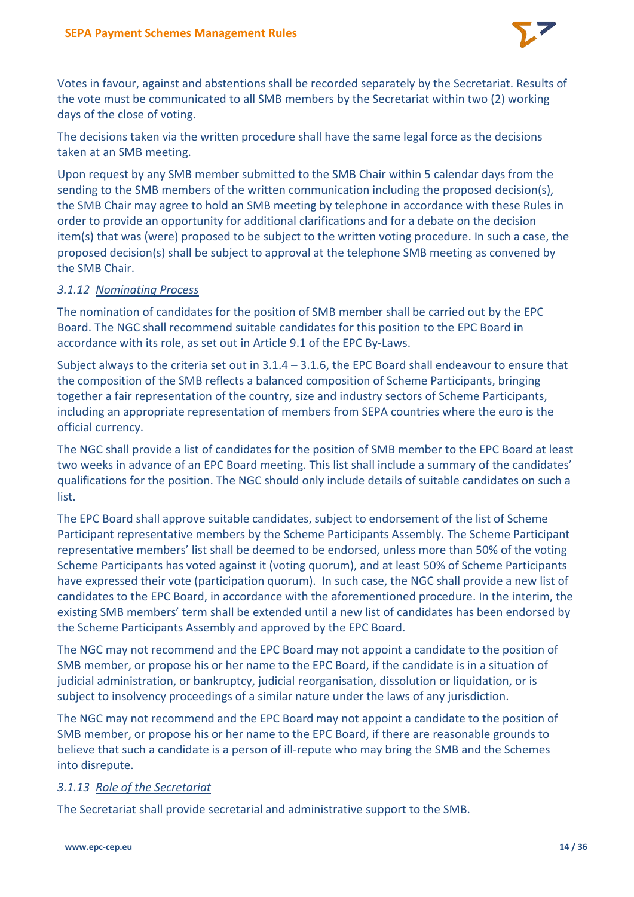

Votes in favour, against and abstentions shall be recorded separately by the Secretariat. Results of the vote must be communicated to all SMB members by the Secretariat within two (2) working days of the close of voting.

The decisions taken via the written procedure shall have the same legal force as the decisions taken at an SMB meeting.

Upon request by any SMB member submitted to the SMB Chair within 5 calendar days from the sending to the SMB members of the written communication including the proposed decision(s), the SMB Chair may agree to hold an SMB meeting by telephone in accordance with these Rules in order to provide an opportunity for additional clarifications and for a debate on the decision item(s) that was (were) proposed to be subject to the written voting procedure. In such a case, the proposed decision(s) shall be subject to approval at the telephone SMB meeting as convened by the SMB Chair.

## *3.1.12 Nominating Process*

The nomination of candidates for the position of SMB member shall be carried out by the EPC Board. The NGC shall recommend suitable candidates for this position to the EPC Board in accordance with its role, as set out in Article 9.1 of the EPC By-Laws.

Subject always to the criteria set out in 3.1.4 – 3.1.6, the EPC Board shall endeavour to ensure that the composition of the SMB reflects a balanced composition of Scheme Participants, bringing together a fair representation of the country, size and industry sectors of Scheme Participants, including an appropriate representation of members from SEPA countries where the euro is the official currency.

The NGC shall provide a list of candidates for the position of SMB member to the EPC Board at least two weeks in advance of an EPC Board meeting. This list shall include a summary of the candidates' qualifications for the position. The NGC should only include details of suitable candidates on such a list.

The EPC Board shall approve suitable candidates, subject to endorsement of the list of Scheme Participant representative members by the Scheme Participants Assembly. The Scheme Participant representative members' list shall be deemed to be endorsed, unless more than 50% of the voting Scheme Participants has voted against it (voting quorum), and at least 50% of Scheme Participants have expressed their vote (participation quorum). In such case, the NGC shall provide a new list of candidates to the EPC Board, in accordance with the aforementioned procedure. In the interim, the existing SMB members' term shall be extended until a new list of candidates has been endorsed by the Scheme Participants Assembly and approved by the EPC Board.

The NGC may not recommend and the EPC Board may not appoint a candidate to the position of SMB member, or propose his or her name to the EPC Board, if the candidate is in a situation of judicial administration, or bankruptcy, judicial reorganisation, dissolution or liquidation, or is subject to insolvency proceedings of a similar nature under the laws of any jurisdiction.

The NGC may not recommend and the EPC Board may not appoint a candidate to the position of SMB member, or propose his or her name to the EPC Board, if there are reasonable grounds to believe that such a candidate is a person of ill-repute who may bring the SMB and the Schemes into disrepute.

# *3.1.13 Role of the Secretariat*

The Secretariat shall provide secretarial and administrative support to the SMB.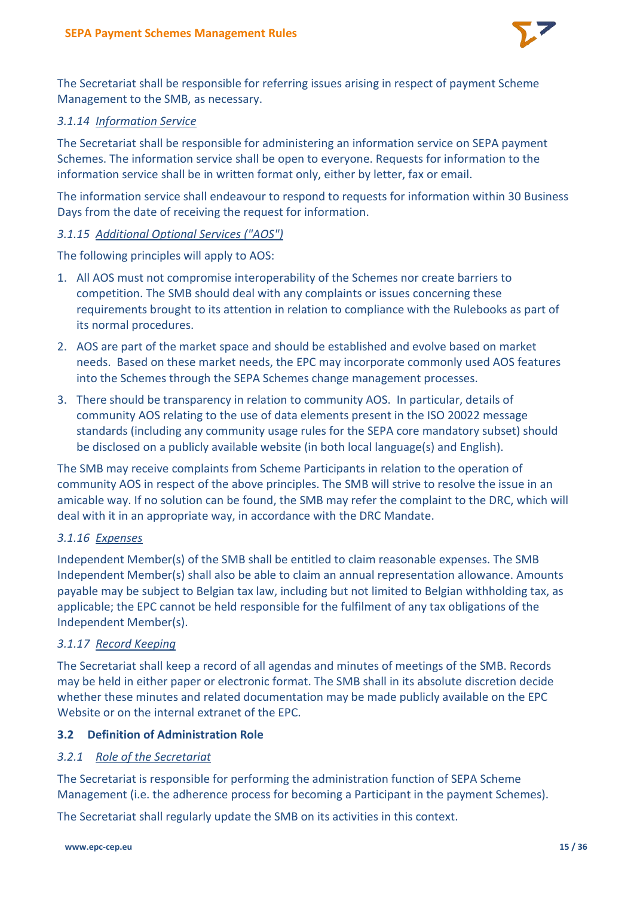

The Secretariat shall be responsible for referring issues arising in respect of payment Scheme Management to the SMB, as necessary.

#### *3.1.14 Information Service*

The Secretariat shall be responsible for administering an information service on SEPA payment Schemes. The information service shall be open to everyone. Requests for information to the information service shall be in written format only, either by letter, fax or email.

The information service shall endeavour to respond to requests for information within 30 Business Days from the date of receiving the request for information.

#### *3.1.15 Additional Optional Services ("AOS")*

The following principles will apply to AOS:

- 1. All AOS must not compromise interoperability of the Schemes nor create barriers to competition. The SMB should deal with any complaints or issues concerning these requirements brought to its attention in relation to compliance with the Rulebooks as part of its normal procedures.
- 2. AOS are part of the market space and should be established and evolve based on market needs. Based on these market needs, the EPC may incorporate commonly used AOS features into the Schemes through the SEPA Schemes change management processes.
- 3. There should be transparency in relation to community AOS. In particular, details of community AOS relating to the use of data elements present in the ISO 20022 message standards (including any community usage rules for the SEPA core mandatory subset) should be disclosed on a publicly available website (in both local language(s) and English).

The SMB may receive complaints from Scheme Participants in relation to the operation of community AOS in respect of the above principles. The SMB will strive to resolve the issue in an amicable way. If no solution can be found, the SMB may refer the complaint to the DRC, which will deal with it in an appropriate way, in accordance with the DRC Mandate.

## *3.1.16 Expenses*

Independent Member(s) of the SMB shall be entitled to claim reasonable expenses. The SMB Independent Member(s) shall also be able to claim an annual representation allowance. Amounts payable may be subject to Belgian tax law, including but not limited to Belgian withholding tax, as applicable; the EPC cannot be held responsible for the fulfilment of any tax obligations of the Independent Member(s).

#### *3.1.17 Record Keeping*

The Secretariat shall keep a record of all agendas and minutes of meetings of the SMB. Records may be held in either paper or electronic format. The SMB shall in its absolute discretion decide whether these minutes and related documentation may be made publicly available on the EPC Website or on the internal extranet of the EPC.

# **3.2 Definition of Administration Role**

## *3.2.1 Role of the Secretariat*

The Secretariat is responsible for performing the administration function of SEPA Scheme Management (i.e. the adherence process for becoming a Participant in the payment Schemes).

The Secretariat shall regularly update the SMB on its activities in this context.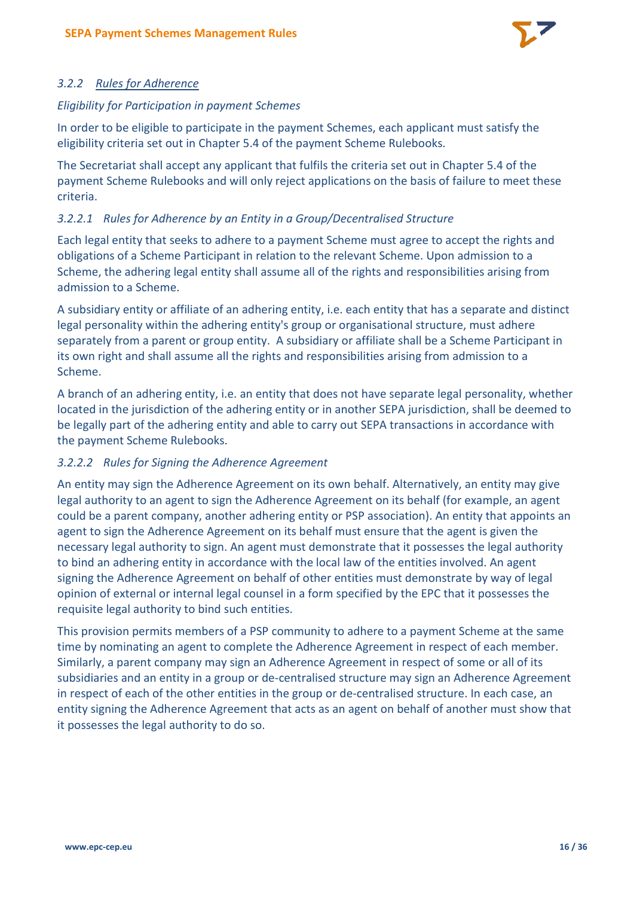

# *3.2.2 Rules for Adherence*

### *Eligibility for Participation in payment Schemes*

In order to be eligible to participate in the payment Schemes, each applicant must satisfy the eligibility criteria set out in Chapter 5.4 of the payment Scheme Rulebooks.

The Secretariat shall accept any applicant that fulfils the criteria set out in Chapter 5.4 of the payment Scheme Rulebooks and will only reject applications on the basis of failure to meet these criteria.

# *3.2.2.1 Rules for Adherence by an Entity in a Group/Decentralised Structure*

Each legal entity that seeks to adhere to a payment Scheme must agree to accept the rights and obligations of a Scheme Participant in relation to the relevant Scheme. Upon admission to a Scheme, the adhering legal entity shall assume all of the rights and responsibilities arising from admission to a Scheme.

A subsidiary entity or affiliate of an adhering entity, i.e. each entity that has a separate and distinct legal personality within the adhering entity's group or organisational structure, must adhere separately from a parent or group entity. A subsidiary or affiliate shall be a Scheme Participant in its own right and shall assume all the rights and responsibilities arising from admission to a Scheme.

A branch of an adhering entity, i.e. an entity that does not have separate legal personality, whether located in the jurisdiction of the adhering entity or in another SEPA jurisdiction, shall be deemed to be legally part of the adhering entity and able to carry out SEPA transactions in accordance with the payment Scheme Rulebooks.

## *3.2.2.2 Rules for Signing the Adherence Agreement*

An entity may sign the Adherence Agreement on its own behalf. Alternatively, an entity may give legal authority to an agent to sign the Adherence Agreement on its behalf (for example, an agent could be a parent company, another adhering entity or PSP association). An entity that appoints an agent to sign the Adherence Agreement on its behalf must ensure that the agent is given the necessary legal authority to sign. An agent must demonstrate that it possesses the legal authority to bind an adhering entity in accordance with the local law of the entities involved. An agent signing the Adherence Agreement on behalf of other entities must demonstrate by way of legal opinion of external or internal legal counsel in a form specified by the EPC that it possesses the requisite legal authority to bind such entities.

This provision permits members of a PSP community to adhere to a payment Scheme at the same time by nominating an agent to complete the Adherence Agreement in respect of each member. Similarly, a parent company may sign an Adherence Agreement in respect of some or all of its subsidiaries and an entity in a group or de-centralised structure may sign an Adherence Agreement in respect of each of the other entities in the group or de-centralised structure. In each case, an entity signing the Adherence Agreement that acts as an agent on behalf of another must show that it possesses the legal authority to do so.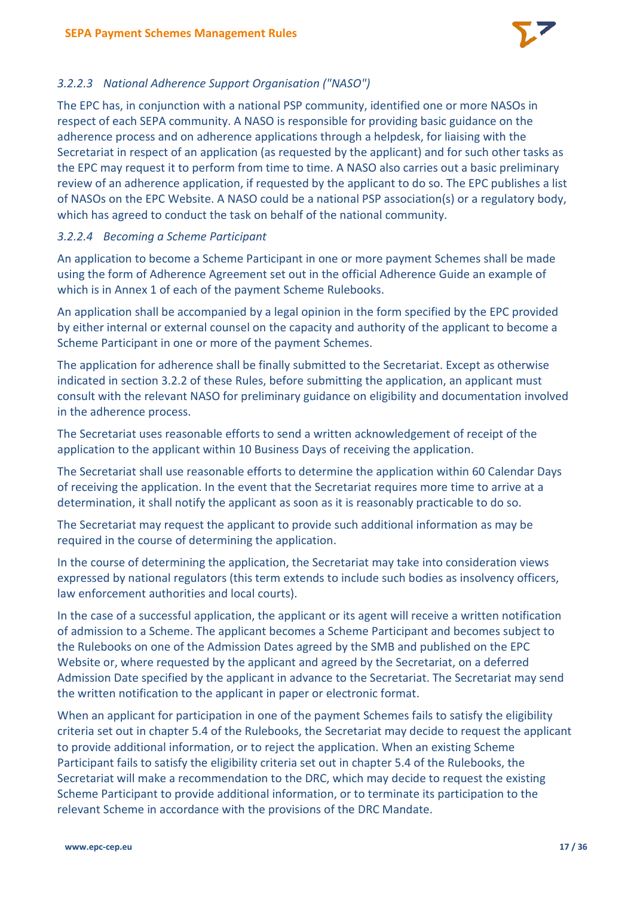

# *3.2.2.3 National Adherence Support Organisation ("NASO")*

The EPC has, in conjunction with a national PSP community, identified one or more NASOs in respect of each SEPA community. A NASO is responsible for providing basic guidance on the adherence process and on adherence applications through a helpdesk, for liaising with the Secretariat in respect of an application (as requested by the applicant) and for such other tasks as the EPC may request it to perform from time to time. A NASO also carries out a basic preliminary review of an adherence application, if requested by the applicant to do so. The EPC publishes a list of NASOs on the EPC Website. A NASO could be a national PSP association(s) or a regulatory body, which has agreed to conduct the task on behalf of the national community.

## *3.2.2.4 Becoming a Scheme Participant*

An application to become a Scheme Participant in one or more payment Schemes shall be made using the form of Adherence Agreement set out in the official Adherence Guide an example of which is in Annex 1 of each of the payment Scheme Rulebooks.

An application shall be accompanied by a legal opinion in the form specified by the EPC provided by either internal or external counsel on the capacity and authority of the applicant to become a Scheme Participant in one or more of the payment Schemes.

The application for adherence shall be finally submitted to the Secretariat. Except as otherwise indicated in section 3.2.2 of these Rules, before submitting the application, an applicant must consult with the relevant NASO for preliminary guidance on eligibility and documentation involved in the adherence process.

The Secretariat uses reasonable efforts to send a written acknowledgement of receipt of the application to the applicant within 10 Business Days of receiving the application.

The Secretariat shall use reasonable efforts to determine the application within 60 Calendar Days of receiving the application. In the event that the Secretariat requires more time to arrive at a determination, it shall notify the applicant as soon as it is reasonably practicable to do so.

The Secretariat may request the applicant to provide such additional information as may be required in the course of determining the application.

In the course of determining the application, the Secretariat may take into consideration views expressed by national regulators (this term extends to include such bodies as insolvency officers, law enforcement authorities and local courts).

In the case of a successful application, the applicant or its agent will receive a written notification of admission to a Scheme. The applicant becomes a Scheme Participant and becomes subject to the Rulebooks on one of the Admission Dates agreed by the SMB and published on the EPC Website or, where requested by the applicant and agreed by the Secretariat, on a deferred Admission Date specified by the applicant in advance to the Secretariat. The Secretariat may send the written notification to the applicant in paper or electronic format.

When an applicant for participation in one of the payment Schemes fails to satisfy the eligibility criteria set out in chapter 5.4 of the Rulebooks, the Secretariat may decide to request the applicant to provide additional information, or to reject the application. When an existing Scheme Participant fails to satisfy the eligibility criteria set out in chapter 5.4 of the Rulebooks, the Secretariat will make a recommendation to the DRC, which may decide to request the existing Scheme Participant to provide additional information, or to terminate its participation to the relevant Scheme in accordance with the provisions of the DRC Mandate.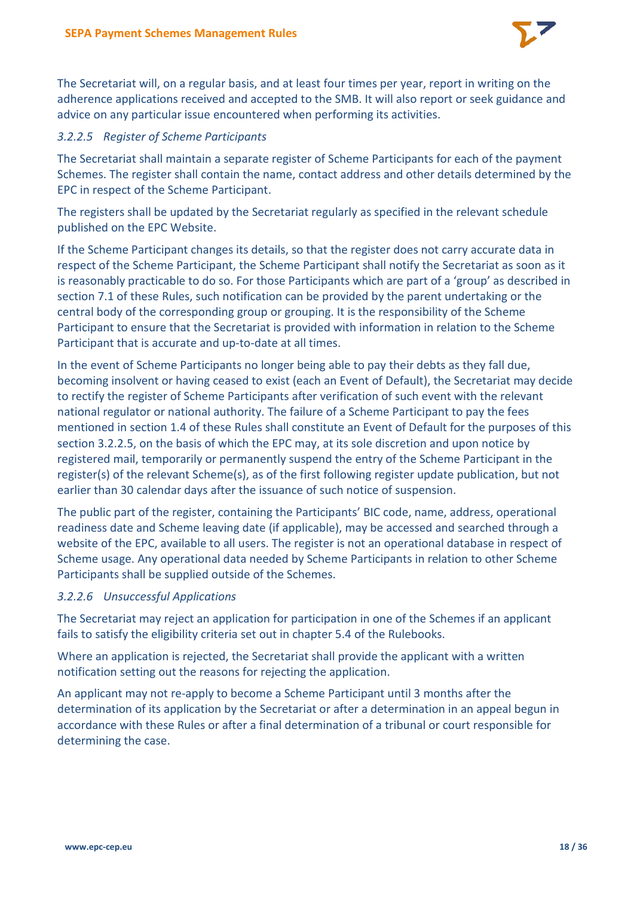

The Secretariat will, on a regular basis, and at least four times per year, report in writing on the adherence applications received and accepted to the SMB. It will also report or seek guidance and advice on any particular issue encountered when performing its activities.

# *3.2.2.5 Register of Scheme Participants*

The Secretariat shall maintain a separate register of Scheme Participants for each of the payment Schemes. The register shall contain the name, contact address and other details determined by the EPC in respect of the Scheme Participant.

The registers shall be updated by the Secretariat regularly as specified in the relevant schedule published on the EPC Website.

If the Scheme Participant changes its details, so that the register does not carry accurate data in respect of the Scheme Participant, the Scheme Participant shall notify the Secretariat as soon as it is reasonably practicable to do so. For those Participants which are part of a 'group' as described in section 7.1 of these Rules, such notification can be provided by the parent undertaking or the central body of the corresponding group or grouping. It is the responsibility of the Scheme Participant to ensure that the Secretariat is provided with information in relation to the Scheme Participant that is accurate and up-to-date at all times.

In the event of Scheme Participants no longer being able to pay their debts as they fall due, becoming insolvent or having ceased to exist (each an Event of Default), the Secretariat may decide to rectify the register of Scheme Participants after verification of such event with the relevant national regulator or national authority. The failure of a Scheme Participant to pay the fees mentioned in section 1.4 of these Rules shall constitute an Event of Default for the purposes of this section 3.2.2.5, on the basis of which the EPC may, at its sole discretion and upon notice by registered mail, temporarily or permanently suspend the entry of the Scheme Participant in the register(s) of the relevant Scheme(s), as of the first following register update publication, but not earlier than 30 calendar days after the issuance of such notice of suspension.

The public part of the register, containing the Participants' BIC code, name, address, operational readiness date and Scheme leaving date (if applicable), may be accessed and searched through a website of the EPC, available to all users. The register is not an operational database in respect of Scheme usage. Any operational data needed by Scheme Participants in relation to other Scheme Participants shall be supplied outside of the Schemes.

## *3.2.2.6 Unsuccessful Applications*

The Secretariat may reject an application for participation in one of the Schemes if an applicant fails to satisfy the eligibility criteria set out in chapter 5.4 of the Rulebooks.

Where an application is rejected, the Secretariat shall provide the applicant with a written notification setting out the reasons for rejecting the application.

An applicant may not re-apply to become a Scheme Participant until 3 months after the determination of its application by the Secretariat or after a determination in an appeal begun in accordance with these Rules or after a final determination of a tribunal or court responsible for determining the case.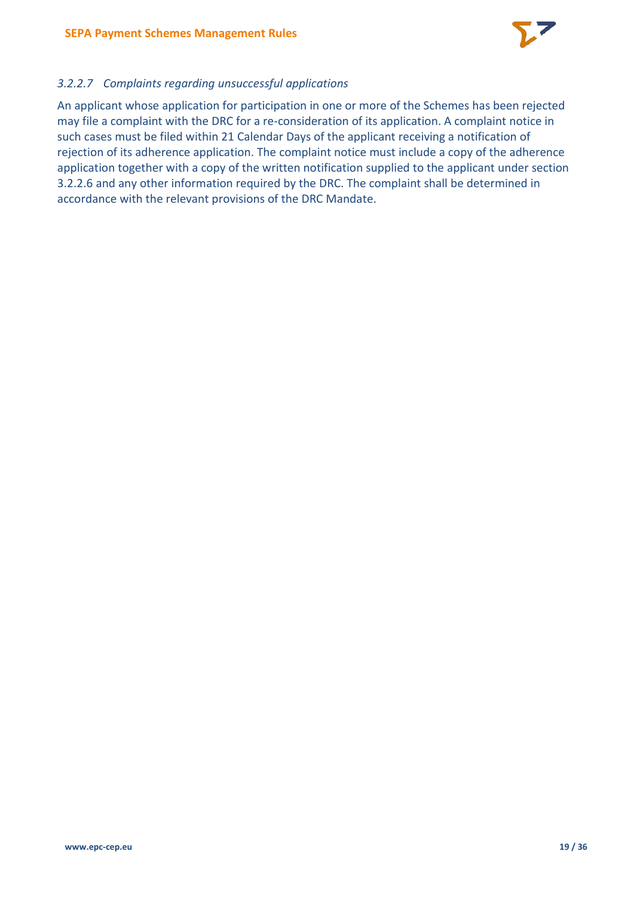

# *3.2.2.7 Complaints regarding unsuccessful applications*

An applicant whose application for participation in one or more of the Schemes has been rejected may file a complaint with the DRC for a re-consideration of its application. A complaint notice in such cases must be filed within 21 Calendar Days of the applicant receiving a notification of rejection of its adherence application. The complaint notice must include a copy of the adherence application together with a copy of the written notification supplied to the applicant under section 3.2.2.6 and any other information required by the DRC. The complaint shall be determined in accordance with the relevant provisions of the DRC Mandate.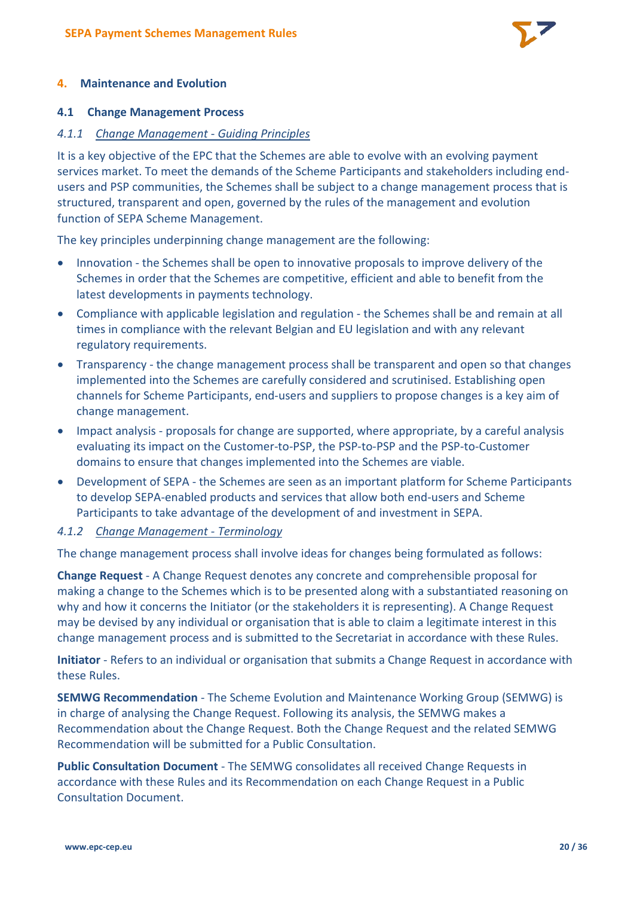

#### **4. Maintenance and Evolution**

#### **4.1 Change Management Process**

#### *4.1.1 Change Management - Guiding Principles*

It is a key objective of the EPC that the Schemes are able to evolve with an evolving payment services market. To meet the demands of the Scheme Participants and stakeholders including endusers and PSP communities, the Schemes shall be subject to a change management process that is structured, transparent and open, governed by the rules of the management and evolution function of SEPA Scheme Management.

The key principles underpinning change management are the following:

- Innovation the Schemes shall be open to innovative proposals to improve delivery of the Schemes in order that the Schemes are competitive, efficient and able to benefit from the latest developments in payments technology.
- Compliance with applicable legislation and regulation the Schemes shall be and remain at all times in compliance with the relevant Belgian and EU legislation and with any relevant regulatory requirements.
- Transparency the change management process shall be transparent and open so that changes implemented into the Schemes are carefully considered and scrutinised. Establishing open channels for Scheme Participants, end-users and suppliers to propose changes is a key aim of change management.
- Impact analysis proposals for change are supported, where appropriate, by a careful analysis evaluating its impact on the Customer-to-PSP, the PSP-to-PSP and the PSP-to-Customer domains to ensure that changes implemented into the Schemes are viable.
- Development of SEPA the Schemes are seen as an important platform for Scheme Participants to develop SEPA-enabled products and services that allow both end-users and Scheme Participants to take advantage of the development of and investment in SEPA.

#### *4.1.2 Change Management - Terminology*

The change management process shall involve ideas for changes being formulated as follows:

**Change Request** - A Change Request denotes any concrete and comprehensible proposal for making a change to the Schemes which is to be presented along with a substantiated reasoning on why and how it concerns the Initiator (or the stakeholders it is representing). A Change Request may be devised by any individual or organisation that is able to claim a legitimate interest in this change management process and is submitted to the Secretariat in accordance with these Rules.

**Initiator** - Refers to an individual or organisation that submits a Change Request in accordance with these Rules.

**SEMWG Recommendation** - The Scheme Evolution and Maintenance Working Group (SEMWG) is in charge of analysing the Change Request. Following its analysis, the SEMWG makes a Recommendation about the Change Request. Both the Change Request and the related SEMWG Recommendation will be submitted for a Public Consultation.

**Public Consultation Document** - The SEMWG consolidates all received Change Requests in accordance with these Rules and its Recommendation on each Change Request in a Public Consultation Document.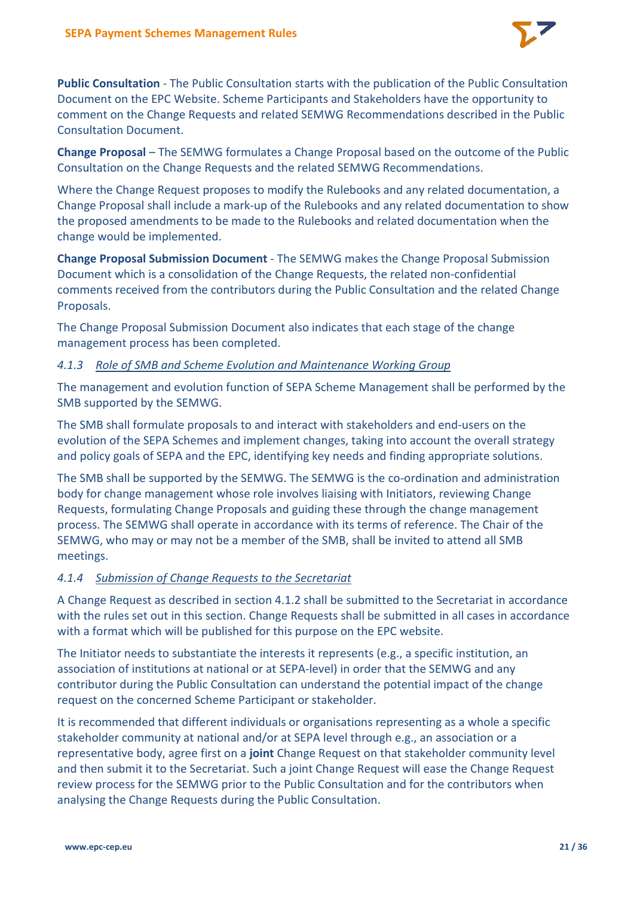

**Public Consultation** - The Public Consultation starts with the publication of the Public Consultation Document on the EPC Website. Scheme Participants and Stakeholders have the opportunity to comment on the Change Requests and related SEMWG Recommendations described in the Public Consultation Document.

**Change Proposal** – The SEMWG formulates a Change Proposal based on the outcome of the Public Consultation on the Change Requests and the related SEMWG Recommendations.

Where the Change Request proposes to modify the Rulebooks and any related documentation, a Change Proposal shall include a mark-up of the Rulebooks and any related documentation to show the proposed amendments to be made to the Rulebooks and related documentation when the change would be implemented.

**Change Proposal Submission Document** - The SEMWG makes the Change Proposal Submission Document which is a consolidation of the Change Requests, the related non-confidential comments received from the contributors during the Public Consultation and the related Change Proposals.

The Change Proposal Submission Document also indicates that each stage of the change management process has been completed.

## *4.1.3 Role of SMB and Scheme Evolution and Maintenance Working Group*

The management and evolution function of SEPA Scheme Management shall be performed by the SMB supported by the SEMWG.

The SMB shall formulate proposals to and interact with stakeholders and end-users on the evolution of the SEPA Schemes and implement changes, taking into account the overall strategy and policy goals of SEPA and the EPC, identifying key needs and finding appropriate solutions.

The SMB shall be supported by the SEMWG. The SEMWG is the co-ordination and administration body for change management whose role involves liaising with Initiators, reviewing Change Requests, formulating Change Proposals and guiding these through the change management process. The SEMWG shall operate in accordance with its terms of reference. The Chair of the SEMWG, who may or may not be a member of the SMB, shall be invited to attend all SMB meetings.

## *4.1.4 Submission of Change Requests to the Secretariat*

A Change Request as described in section 4.1.2 shall be submitted to the Secretariat in accordance with the rules set out in this section. Change Requests shall be submitted in all cases in accordance with a format which will be published for this purpose on the EPC website.

The Initiator needs to substantiate the interests it represents (e.g., a specific institution, an association of institutions at national or at SEPA-level) in order that the SEMWG and any contributor during the Public Consultation can understand the potential impact of the change request on the concerned Scheme Participant or stakeholder.

It is recommended that different individuals or organisations representing as a whole a specific stakeholder community at national and/or at SEPA level through e.g., an association or a representative body, agree first on a **joint** Change Request on that stakeholder community level and then submit it to the Secretariat. Such a joint Change Request will ease the Change Request review process for the SEMWG prior to the Public Consultation and for the contributors when analysing the Change Requests during the Public Consultation.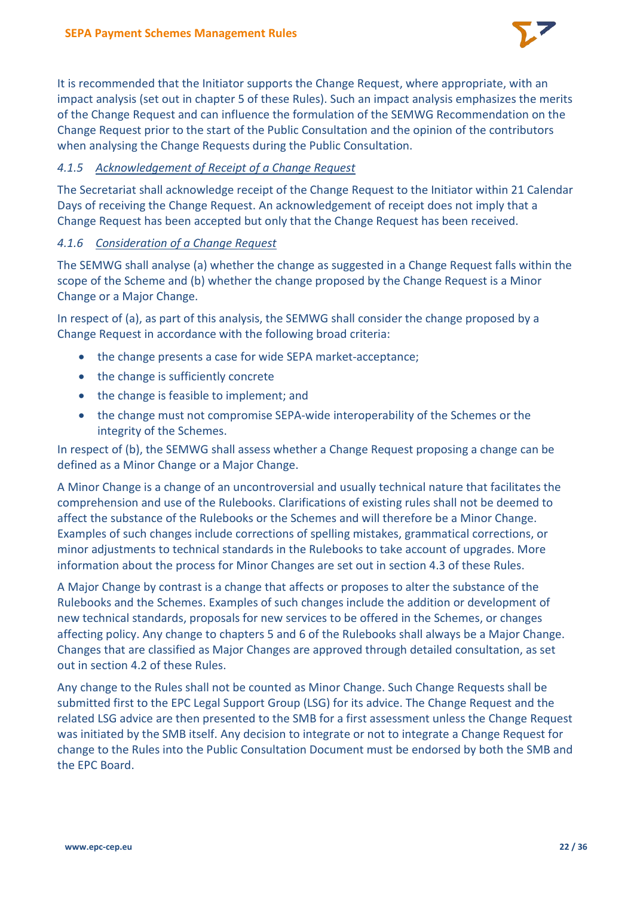

It is recommended that the Initiator supports the Change Request, where appropriate, with an impact analysis (set out in chapter 5 of these Rules). Such an impact analysis emphasizes the merits of the Change Request and can influence the formulation of the SEMWG Recommendation on the Change Request prior to the start of the Public Consultation and the opinion of the contributors when analysing the Change Requests during the Public Consultation.

# *4.1.5 Acknowledgement of Receipt of a Change Request*

The Secretariat shall acknowledge receipt of the Change Request to the Initiator within 21 Calendar Days of receiving the Change Request. An acknowledgement of receipt does not imply that a Change Request has been accepted but only that the Change Request has been received.

## *4.1.6 Consideration of a Change Request*

The SEMWG shall analyse (a) whether the change as suggested in a Change Request falls within the scope of the Scheme and (b) whether the change proposed by the Change Request is a Minor Change or a Major Change.

In respect of (a), as part of this analysis, the SEMWG shall consider the change proposed by a Change Request in accordance with the following broad criteria:

- the change presents a case for wide SEPA market-acceptance;
- the change is sufficiently concrete
- the change is feasible to implement; and
- the change must not compromise SEPA-wide interoperability of the Schemes or the integrity of the Schemes.

In respect of (b), the SEMWG shall assess whether a Change Request proposing a change can be defined as a Minor Change or a Major Change.

A Minor Change is a change of an uncontroversial and usually technical nature that facilitates the comprehension and use of the Rulebooks. Clarifications of existing rules shall not be deemed to affect the substance of the Rulebooks or the Schemes and will therefore be a Minor Change. Examples of such changes include corrections of spelling mistakes, grammatical corrections, or minor adjustments to technical standards in the Rulebooks to take account of upgrades. More information about the process for Minor Changes are set out in section 4.3 of these Rules.

A Major Change by contrast is a change that affects or proposes to alter the substance of the Rulebooks and the Schemes. Examples of such changes include the addition or development of new technical standards, proposals for new services to be offered in the Schemes, or changes affecting policy. Any change to chapters 5 and 6 of the Rulebooks shall always be a Major Change. Changes that are classified as Major Changes are approved through detailed consultation, as set out in section 4.2 of these Rules.

Any change to the Rules shall not be counted as Minor Change. Such Change Requests shall be submitted first to the EPC Legal Support Group (LSG) for its advice. The Change Request and the related LSG advice are then presented to the SMB for a first assessment unless the Change Request was initiated by the SMB itself. Any decision to integrate or not to integrate a Change Request for change to the Rules into the Public Consultation Document must be endorsed by both the SMB and the EPC Board.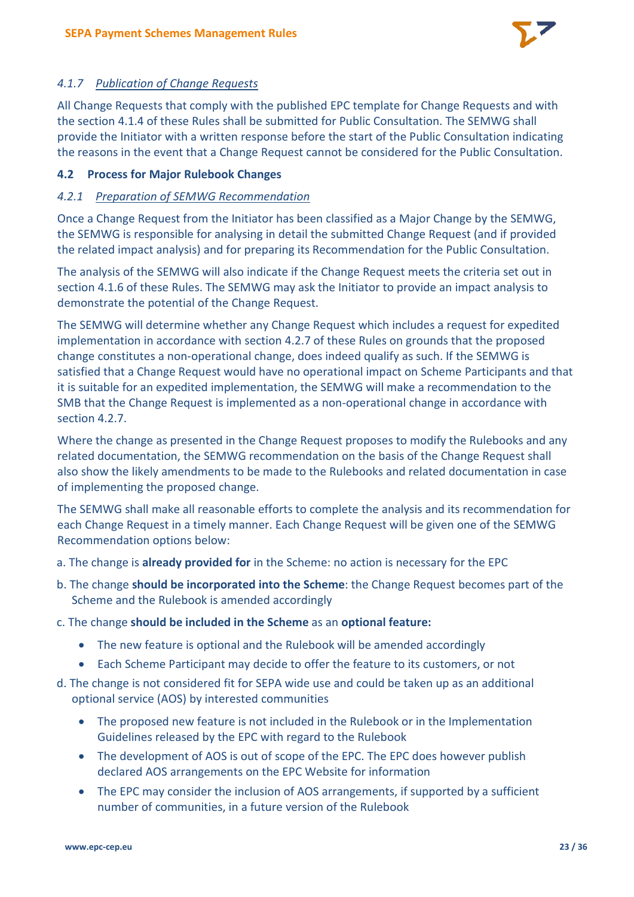

# *4.1.7 Publication of Change Requests*

All Change Requests that comply with the published EPC template for Change Requests and with the section 4.1.4 of these Rules shall be submitted for Public Consultation. The SEMWG shall provide the Initiator with a written response before the start of the Public Consultation indicating the reasons in the event that a Change Request cannot be considered for the Public Consultation.

## **4.2 Process for Major Rulebook Changes**

# *4.2.1 Preparation of SEMWG Recommendation*

Once a Change Request from the Initiator has been classified as a Major Change by the SEMWG, the SEMWG is responsible for analysing in detail the submitted Change Request (and if provided the related impact analysis) and for preparing its Recommendation for the Public Consultation.

The analysis of the SEMWG will also indicate if the Change Request meets the criteria set out in section 4.1.6 of these Rules. The SEMWG may ask the Initiator to provide an impact analysis to demonstrate the potential of the Change Request.

The SEMWG will determine whether any Change Request which includes a request for expedited implementation in accordance with section 4.2.7 of these Rules on grounds that the proposed change constitutes a non-operational change, does indeed qualify as such. If the SEMWG is satisfied that a Change Request would have no operational impact on Scheme Participants and that it is suitable for an expedited implementation, the SEMWG will make a recommendation to the SMB that the Change Request is implemented as a non-operational change in accordance with section 4.2.7.

Where the change as presented in the Change Request proposes to modify the Rulebooks and any related documentation, the SEMWG recommendation on the basis of the Change Request shall also show the likely amendments to be made to the Rulebooks and related documentation in case of implementing the proposed change.

The SEMWG shall make all reasonable efforts to complete the analysis and its recommendation for each Change Request in a timely manner. Each Change Request will be given one of the SEMWG Recommendation options below:

- a. The change is **already provided for** in the Scheme: no action is necessary for the EPC
- b. The change **should be incorporated into the Scheme**: the Change Request becomes part of the Scheme and the Rulebook is amended accordingly
- c. The change **should be included in the Scheme** as an **optional feature:**
	- The new feature is optional and the Rulebook will be amended accordingly
	- Each Scheme Participant may decide to offer the feature to its customers, or not
- d. The change is not considered fit for SEPA wide use and could be taken up as an additional optional service (AOS) by interested communities
	- The proposed new feature is not included in the Rulebook or in the Implementation Guidelines released by the EPC with regard to the Rulebook
	- The development of AOS is out of scope of the EPC. The EPC does however publish declared AOS arrangements on the EPC Website for information
	- The EPC may consider the inclusion of AOS arrangements, if supported by a sufficient number of communities, in a future version of the Rulebook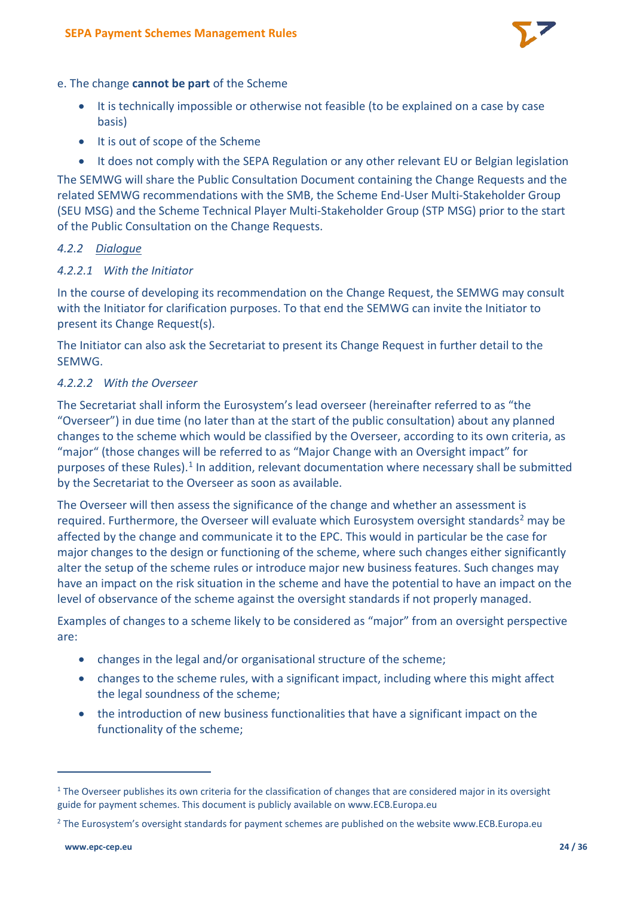

#### e. The change **cannot be part** of the Scheme

- It is technically impossible or otherwise not feasible (to be explained on a case by case basis)
- It is out of scope of the Scheme
- It does not comply with the SEPA Regulation or any other relevant EU or Belgian legislation

The SEMWG will share the Public Consultation Document containing the Change Requests and the related SEMWG recommendations with the SMB, the Scheme End-User Multi-Stakeholder Group (SEU MSG) and the Scheme Technical Player Multi-Stakeholder Group (STP MSG) prior to the start of the Public Consultation on the Change Requests.

# *4.2.2 Dialogue*

# *4.2.2.1 With the Initiator*

In the course of developing its recommendation on the Change Request, the SEMWG may consult with the Initiator for clarification purposes. To that end the SEMWG can invite the Initiator to present its Change Request(s).

The Initiator can also ask the Secretariat to present its Change Request in further detail to the SEMWG.

## *4.2.2.2 With the Overseer*

The Secretariat shall inform the Eurosystem's lead overseer (hereinafter referred to as "the "Overseer") in due time (no later than at the start of the public consultation) about any planned changes to the scheme which would be classified by the Overseer, according to its own criteria, as "major" (those changes will be referred to as "Major Change with an Oversight impact" for purposes of these Rules).<sup>[1](#page-23-0)</sup> In addition, relevant documentation where necessary shall be submitted by the Secretariat to the Overseer as soon as available.

The Overseer will then assess the significance of the change and whether an assessment is required. Furthermore, the Overseer will evaluate which Eurosystem oversight standards<sup>[2](#page-23-1)</sup> may be affected by the change and communicate it to the EPC. This would in particular be the case for major changes to the design or functioning of the scheme, where such changes either significantly alter the setup of the scheme rules or introduce major new business features. Such changes may have an impact on the risk situation in the scheme and have the potential to have an impact on the level of observance of the scheme against the oversight standards if not properly managed.

Examples of changes to a scheme likely to be considered as "major" from an oversight perspective are:

- changes in the legal and/or organisational structure of the scheme;
- changes to the scheme rules, with a significant impact, including where this might affect the legal soundness of the scheme;
- the introduction of new business functionalities that have a significant impact on the functionality of the scheme;

<span id="page-23-0"></span> $1$  The Overseer publishes its own criteria for the classification of changes that are considered major in its oversight guide for payment schemes. This document is publicly available on www.ECB.Europa.eu

<span id="page-23-1"></span><sup>&</sup>lt;sup>2</sup> The Eurosystem's oversight standards for payment schemes are published on the website www.ECB.Europa.eu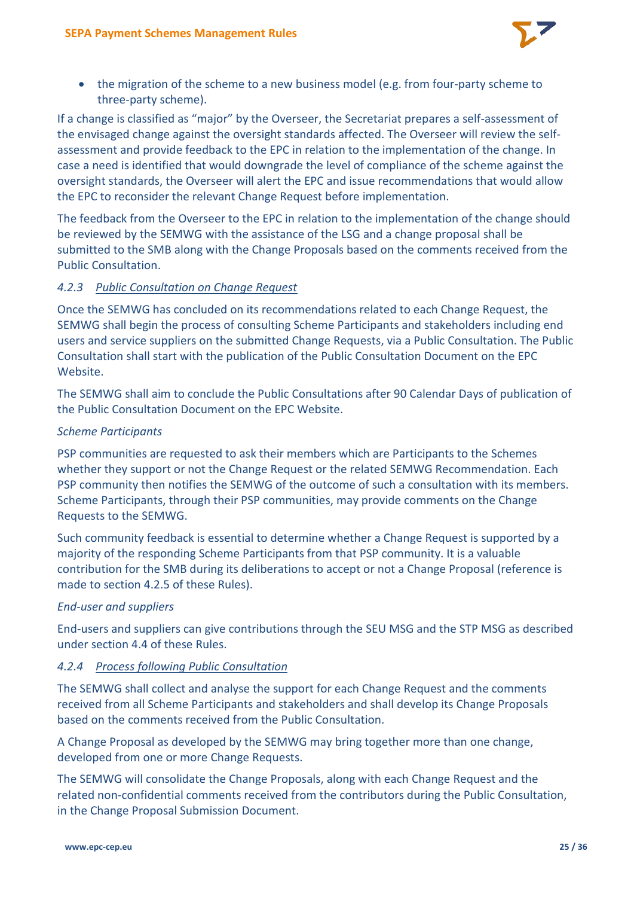

• the migration of the scheme to a new business model (e.g. from four-party scheme to three-party scheme).

If a change is classified as "major" by the Overseer, the Secretariat prepares a self-assessment of the envisaged change against the oversight standards affected. The Overseer will review the selfassessment and provide feedback to the EPC in relation to the implementation of the change. In case a need is identified that would downgrade the level of compliance of the scheme against the oversight standards, the Overseer will alert the EPC and issue recommendations that would allow the EPC to reconsider the relevant Change Request before implementation.

The feedback from the Overseer to the EPC in relation to the implementation of the change should be reviewed by the SEMWG with the assistance of the LSG and a change proposal shall be submitted to the SMB along with the Change Proposals based on the comments received from the Public Consultation.

# *4.2.3 Public Consultation on Change Request*

Once the SEMWG has concluded on its recommendations related to each Change Request, the SEMWG shall begin the process of consulting Scheme Participants and stakeholders including end users and service suppliers on the submitted Change Requests, via a Public Consultation. The Public Consultation shall start with the publication of the Public Consultation Document on the EPC Website.

The SEMWG shall aim to conclude the Public Consultations after 90 Calendar Days of publication of the Public Consultation Document on the EPC Website.

# *Scheme Participants*

PSP communities are requested to ask their members which are Participants to the Schemes whether they support or not the Change Request or the related SEMWG Recommendation. Each PSP community then notifies the SEMWG of the outcome of such a consultation with its members. Scheme Participants, through their PSP communities, may provide comments on the Change Requests to the SEMWG.

Such community feedback is essential to determine whether a Change Request is supported by a majority of the responding Scheme Participants from that PSP community. It is a valuable contribution for the SMB during its deliberations to accept or not a Change Proposal (reference is made to section 4.2.5 of these Rules).

## *End-user and suppliers*

End-users and suppliers can give contributions through the SEU MSG and the STP MSG as described under section 4.4 of these Rules.

# *4.2.4 Process following Public Consultation*

The SEMWG shall collect and analyse the support for each Change Request and the comments received from all Scheme Participants and stakeholders and shall develop its Change Proposals based on the comments received from the Public Consultation.

A Change Proposal as developed by the SEMWG may bring together more than one change, developed from one or more Change Requests.

The SEMWG will consolidate the Change Proposals, along with each Change Request and the related non-confidential comments received from the contributors during the Public Consultation, in the Change Proposal Submission Document.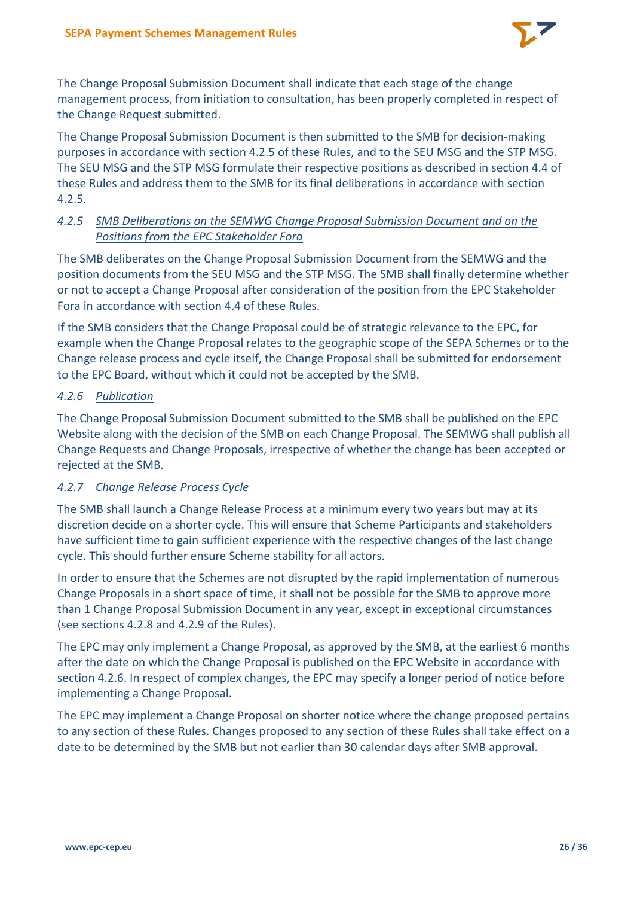

The Change Proposal Submission Document shall indicate that each stage of the change management process, from initiation to consultation, has been properly completed in respect of the Change Request submitted.

The Change Proposal Submission Document is then submitted to the SMB for decision-making purposes in accordance with section 4.2.5 of these Rules, and to the SEU MSG and the STP MSG. The SEU MSG and the STP MSG formulate their respective positions as described in section 4.4 of these Rules and address them to the SMB for its final deliberations in accordance with section 4.2.5.

# *4.2.5 SMB Deliberations on the SEMWG Change Proposal Submission Document and on the Positions from the EPC Stakeholder Fora*

The SMB deliberates on the Change Proposal Submission Document from the SEMWG and the position documents from the SEU MSG and the STP MSG. The SMB shall finally determine whether or not to accept a Change Proposal after consideration of the position from the EPC Stakeholder Fora in accordance with section 4.4 of these Rules.

If the SMB considers that the Change Proposal could be of strategic relevance to the EPC, for example when the Change Proposal relates to the geographic scope of the SEPA Schemes or to the Change release process and cycle itself, the Change Proposal shall be submitted for endorsement to the EPC Board, without which it could not be accepted by the SMB.

# *4.2.6 Publication*

The Change Proposal Submission Document submitted to the SMB shall be published on the EPC Website along with the decision of the SMB on each Change Proposal. The SEMWG shall publish all Change Requests and Change Proposals, irrespective of whether the change has been accepted or rejected at the SMB.

## *4.2.7 Change Release Process Cycle*

The SMB shall launch a Change Release Process at a minimum every two years but may at its discretion decide on a shorter cycle. This will ensure that Scheme Participants and stakeholders have sufficient time to gain sufficient experience with the respective changes of the last change cycle. This should further ensure Scheme stability for all actors.

In order to ensure that the Schemes are not disrupted by the rapid implementation of numerous Change Proposals in a short space of time, it shall not be possible for the SMB to approve more than 1 Change Proposal Submission Document in any year, except in exceptional circumstances (see sections 4.2.8 and 4.2.9 of the Rules).

The EPC may only implement a Change Proposal, as approved by the SMB, at the earliest 6 months after the date on which the Change Proposal is published on the EPC Website in accordance with section 4.2.6. In respect of complex changes, the EPC may specify a longer period of notice before implementing a Change Proposal.

The EPC may implement a Change Proposal on shorter notice where the change proposed pertains to any section of these Rules. Changes proposed to any section of these Rules shall take effect on a date to be determined by the SMB but not earlier than 30 calendar days after SMB approval.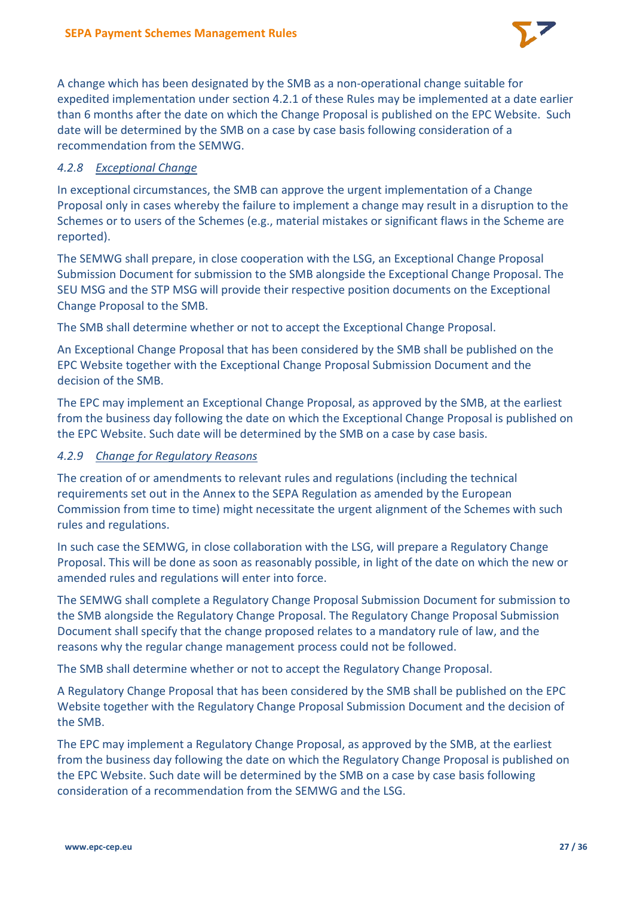

A change which has been designated by the SMB as a non-operational change suitable for expedited implementation under section 4.2.1 of these Rules may be implemented at a date earlier than 6 months after the date on which the Change Proposal is published on the EPC Website. Such date will be determined by the SMB on a case by case basis following consideration of a recommendation from the SEMWG.

# *4.2.8 Exceptional Change*

In exceptional circumstances, the SMB can approve the urgent implementation of a Change Proposal only in cases whereby the failure to implement a change may result in a disruption to the Schemes or to users of the Schemes (e.g., material mistakes or significant flaws in the Scheme are reported).

The SEMWG shall prepare, in close cooperation with the LSG, an Exceptional Change Proposal Submission Document for submission to the SMB alongside the Exceptional Change Proposal. The SEU MSG and the STP MSG will provide their respective position documents on the Exceptional Change Proposal to the SMB.

The SMB shall determine whether or not to accept the Exceptional Change Proposal.

An Exceptional Change Proposal that has been considered by the SMB shall be published on the EPC Website together with the Exceptional Change Proposal Submission Document and the decision of the SMB.

The EPC may implement an Exceptional Change Proposal, as approved by the SMB, at the earliest from the business day following the date on which the Exceptional Change Proposal is published on the EPC Website. Such date will be determined by the SMB on a case by case basis.

## *4.2.9 Change for Regulatory Reasons*

The creation of or amendments to relevant rules and regulations (including the technical requirements set out in the Annex to the SEPA Regulation as amended by the European Commission from time to time) might necessitate the urgent alignment of the Schemes with such rules and regulations.

In such case the SEMWG, in close collaboration with the LSG, will prepare a Regulatory Change Proposal. This will be done as soon as reasonably possible, in light of the date on which the new or amended rules and regulations will enter into force.

The SEMWG shall complete a Regulatory Change Proposal Submission Document for submission to the SMB alongside the Regulatory Change Proposal. The Regulatory Change Proposal Submission Document shall specify that the change proposed relates to a mandatory rule of law, and the reasons why the regular change management process could not be followed.

The SMB shall determine whether or not to accept the Regulatory Change Proposal.

A Regulatory Change Proposal that has been considered by the SMB shall be published on the EPC Website together with the Regulatory Change Proposal Submission Document and the decision of the SMB.

The EPC may implement a Regulatory Change Proposal, as approved by the SMB, at the earliest from the business day following the date on which the Regulatory Change Proposal is published on the EPC Website. Such date will be determined by the SMB on a case by case basis following consideration of a recommendation from the SEMWG and the LSG.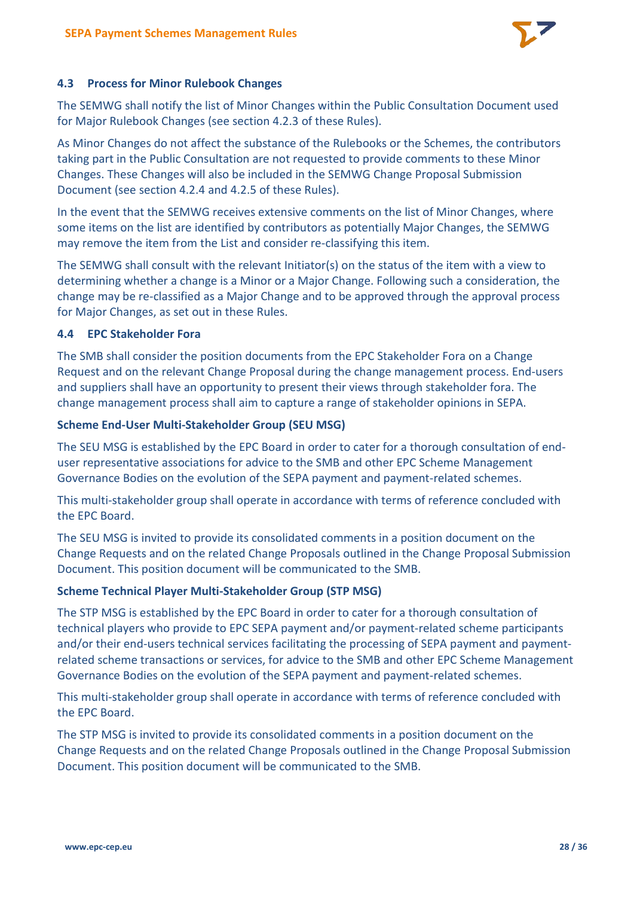

## **4.3 Process for Minor Rulebook Changes**

The SEMWG shall notify the list of Minor Changes within the Public Consultation Document used for Major Rulebook Changes (see section 4.2.3 of these Rules).

As Minor Changes do not affect the substance of the Rulebooks or the Schemes, the contributors taking part in the Public Consultation are not requested to provide comments to these Minor Changes. These Changes will also be included in the SEMWG Change Proposal Submission Document (see section 4.2.4 and 4.2.5 of these Rules).

In the event that the SEMWG receives extensive comments on the list of Minor Changes, where some items on the list are identified by contributors as potentially Major Changes, the SEMWG may remove the item from the List and consider re-classifying this item.

The SEMWG shall consult with the relevant Initiator(s) on the status of the item with a view to determining whether a change is a Minor or a Major Change. Following such a consideration, the change may be re-classified as a Major Change and to be approved through the approval process for Major Changes, as set out in these Rules.

# **4.4 EPC Stakeholder Fora**

The SMB shall consider the position documents from the EPC Stakeholder Fora on a Change Request and on the relevant Change Proposal during the change management process. End-users and suppliers shall have an opportunity to present their views through stakeholder fora. The change management process shall aim to capture a range of stakeholder opinions in SEPA.

## **Scheme End-User Multi-Stakeholder Group (SEU MSG)**

The SEU MSG is established by the EPC Board in order to cater for a thorough consultation of enduser representative associations for advice to the SMB and other EPC Scheme Management Governance Bodies on the evolution of the SEPA payment and payment-related schemes.

This multi-stakeholder group shall operate in accordance with terms of reference concluded with the EPC Board.

The SEU MSG is invited to provide its consolidated comments in a position document on the Change Requests and on the related Change Proposals outlined in the Change Proposal Submission Document. This position document will be communicated to the SMB.

## **Scheme Technical Player Multi-Stakeholder Group (STP MSG)**

The STP MSG is established by the EPC Board in order to cater for a thorough consultation of technical players who provide to EPC SEPA payment and/or payment-related scheme participants and/or their end-users technical services facilitating the processing of SEPA payment and paymentrelated scheme transactions or services, for advice to the SMB and other EPC Scheme Management Governance Bodies on the evolution of the SEPA payment and payment-related schemes.

This multi-stakeholder group shall operate in accordance with terms of reference concluded with the EPC Board.

The STP MSG is invited to provide its consolidated comments in a position document on the Change Requests and on the related Change Proposals outlined in the Change Proposal Submission Document. This position document will be communicated to the SMB.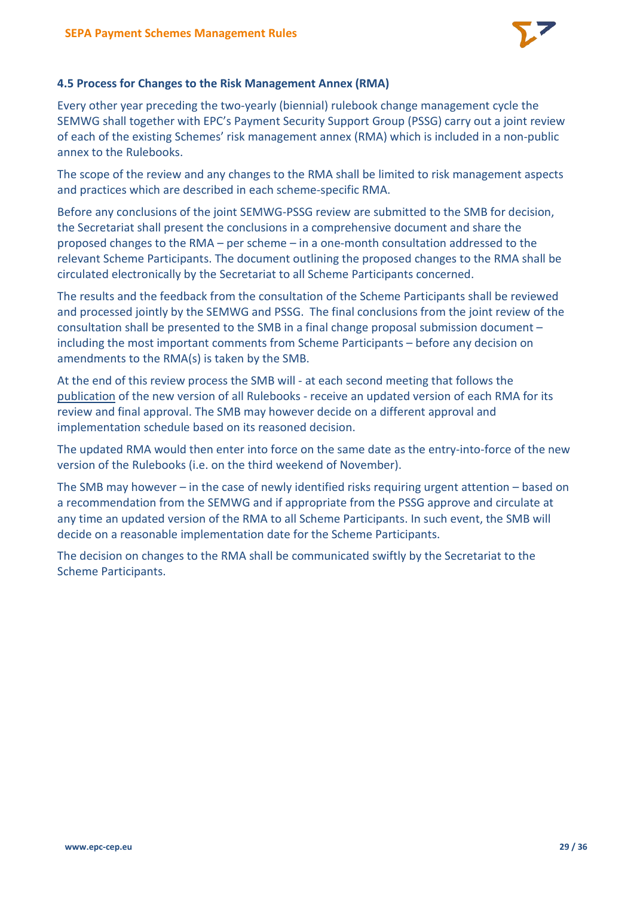

## **4.5 Process for Changes to the Risk Management Annex (RMA)**

Every other year preceding the two-yearly (biennial) rulebook change management cycle the SEMWG shall together with EPC's Payment Security Support Group (PSSG) carry out a joint review of each of the existing Schemes' risk management annex (RMA) which is included in a non-public annex to the Rulebooks.

The scope of the review and any changes to the RMA shall be limited to risk management aspects and practices which are described in each scheme-specific RMA.

Before any conclusions of the joint SEMWG-PSSG review are submitted to the SMB for decision, the Secretariat shall present the conclusions in a comprehensive document and share the proposed changes to the RMA – per scheme – in a one-month consultation addressed to the relevant Scheme Participants. The document outlining the proposed changes to the RMA shall be circulated electronically by the Secretariat to all Scheme Participants concerned.

The results and the feedback from the consultation of the Scheme Participants shall be reviewed and processed jointly by the SEMWG and PSSG. The final conclusions from the joint review of the consultation shall be presented to the SMB in a final change proposal submission document – including the most important comments from Scheme Participants – before any decision on amendments to the RMA(s) is taken by the SMB.

At the end of this review process the SMB will - at each second meeting that follows the publication of the new version of all Rulebooks - receive an updated version of each RMA for its review and final approval. The SMB may however decide on a different approval and implementation schedule based on its reasoned decision.

The updated RMA would then enter into force on the same date as the entry-into-force of the new version of the Rulebooks (i.e. on the third weekend of November).

The SMB may however – in the case of newly identified risks requiring urgent attention – based on a recommendation from the SEMWG and if appropriate from the PSSG approve and circulate at any time an updated version of the RMA to all Scheme Participants. In such event, the SMB will decide on a reasonable implementation date for the Scheme Participants.

The decision on changes to the RMA shall be communicated swiftly by the Secretariat to the Scheme Participants.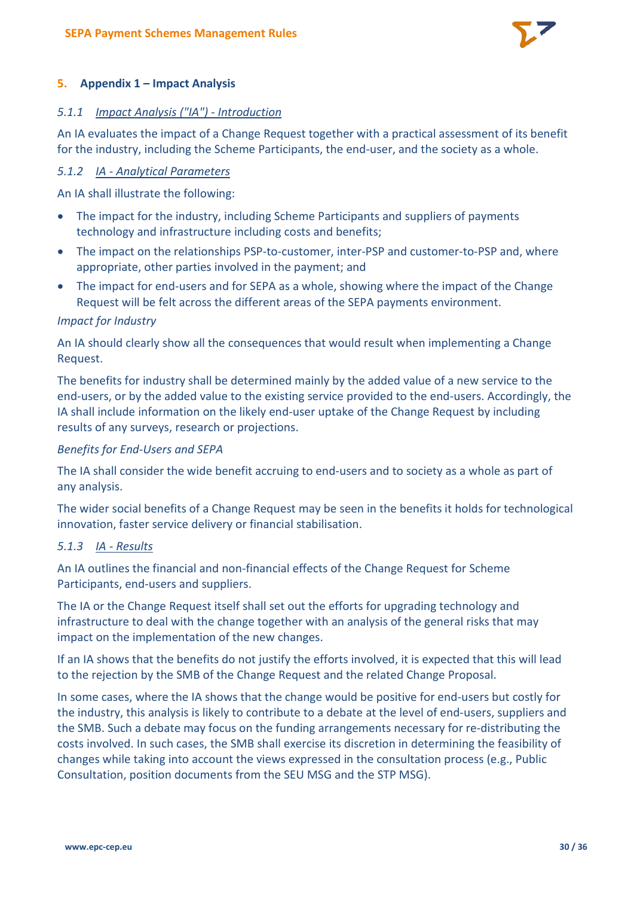

#### **5. Appendix 1 – Impact Analysis**

#### *5.1.1 Impact Analysis ("IA") - Introduction*

An IA evaluates the impact of a Change Request together with a practical assessment of its benefit for the industry, including the Scheme Participants, the end-user, and the society as a whole.

#### *5.1.2 IA - Analytical Parameters*

An IA shall illustrate the following:

- The impact for the industry, including Scheme Participants and suppliers of payments technology and infrastructure including costs and benefits;
- The impact on the relationships PSP-to-customer, inter-PSP and customer-to-PSP and, where appropriate, other parties involved in the payment; and
- The impact for end-users and for SEPA as a whole, showing where the impact of the Change Request will be felt across the different areas of the SEPA payments environment.

#### *Impact for Industry*

An IA should clearly show all the consequences that would result when implementing a Change Request.

The benefits for industry shall be determined mainly by the added value of a new service to the end-users, or by the added value to the existing service provided to the end-users. Accordingly, the IA shall include information on the likely end-user uptake of the Change Request by including results of any surveys, research or projections.

#### *Benefits for End-Users and SEPA*

The IA shall consider the wide benefit accruing to end-users and to society as a whole as part of any analysis.

The wider social benefits of a Change Request may be seen in the benefits it holds for technological innovation, faster service delivery or financial stabilisation.

## *5.1.3 IA - Results*

An IA outlines the financial and non-financial effects of the Change Request for Scheme Participants, end-users and suppliers.

The IA or the Change Request itself shall set out the efforts for upgrading technology and infrastructure to deal with the change together with an analysis of the general risks that may impact on the implementation of the new changes.

If an IA shows that the benefits do not justify the efforts involved, it is expected that this will lead to the rejection by the SMB of the Change Request and the related Change Proposal.

In some cases, where the IA shows that the change would be positive for end-users but costly for the industry, this analysis is likely to contribute to a debate at the level of end-users, suppliers and the SMB. Such a debate may focus on the funding arrangements necessary for re-distributing the costs involved. In such cases, the SMB shall exercise its discretion in determining the feasibility of changes while taking into account the views expressed in the consultation process (e.g., Public Consultation, position documents from the SEU MSG and the STP MSG).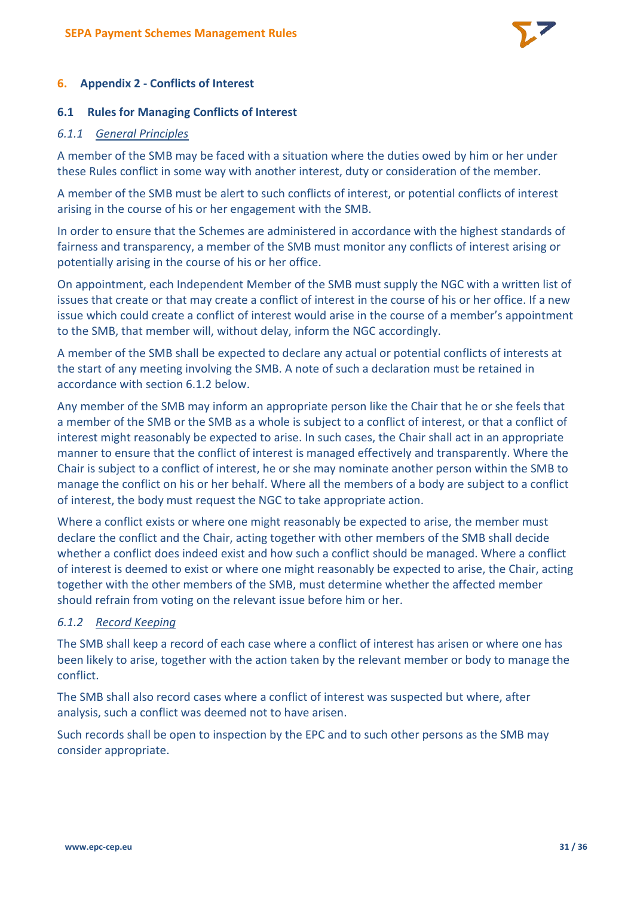

## **6. Appendix 2 - Conflicts of Interest**

#### **6.1 Rules for Managing Conflicts of Interest**

#### *6.1.1 General Principles*

A member of the SMB may be faced with a situation where the duties owed by him or her under these Rules conflict in some way with another interest, duty or consideration of the member.

A member of the SMB must be alert to such conflicts of interest, or potential conflicts of interest arising in the course of his or her engagement with the SMB.

In order to ensure that the Schemes are administered in accordance with the highest standards of fairness and transparency, a member of the SMB must monitor any conflicts of interest arising or potentially arising in the course of his or her office.

On appointment, each Independent Member of the SMB must supply the NGC with a written list of issues that create or that may create a conflict of interest in the course of his or her office. If a new issue which could create a conflict of interest would arise in the course of a member's appointment to the SMB, that member will, without delay, inform the NGC accordingly.

A member of the SMB shall be expected to declare any actual or potential conflicts of interests at the start of any meeting involving the SMB. A note of such a declaration must be retained in accordance with section 6.1.2 below

Any member of the SMB may inform an appropriate person like the Chair that he or she feels that a member of the SMB or the SMB as a whole is subject to a conflict of interest, or that a conflict of interest might reasonably be expected to arise. In such cases, the Chair shall act in an appropriate manner to ensure that the conflict of interest is managed effectively and transparently. Where the Chair is subject to a conflict of interest, he or she may nominate another person within the SMB to manage the conflict on his or her behalf. Where all the members of a body are subject to a conflict of interest, the body must request the NGC to take appropriate action.

Where a conflict exists or where one might reasonably be expected to arise, the member must declare the conflict and the Chair, acting together with other members of the SMB shall decide whether a conflict does indeed exist and how such a conflict should be managed. Where a conflict of interest is deemed to exist or where one might reasonably be expected to arise, the Chair, acting together with the other members of the SMB, must determine whether the affected member should refrain from voting on the relevant issue before him or her.

## *6.1.2 Record Keeping*

The SMB shall keep a record of each case where a conflict of interest has arisen or where one has been likely to arise, together with the action taken by the relevant member or body to manage the conflict.

The SMB shall also record cases where a conflict of interest was suspected but where, after analysis, such a conflict was deemed not to have arisen.

Such records shall be open to inspection by the EPC and to such other persons as the SMB may consider appropriate.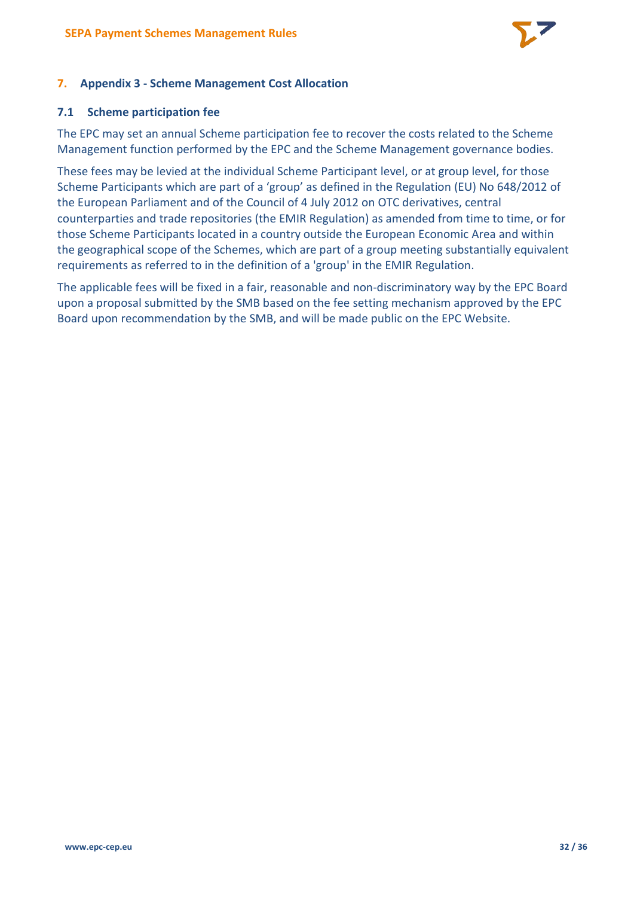

# **7. Appendix 3 - Scheme Management Cost Allocation**

#### **7.1 Scheme participation fee**

The EPC may set an annual Scheme participation fee to recover the costs related to the Scheme Management function performed by the EPC and the Scheme Management governance bodies.

These fees may be levied at the individual Scheme Participant level, or at group level, for those Scheme Participants which are part of a 'group' as defined in the Regulation (EU) No 648/2012 of the European Parliament and of the Council of 4 July 2012 on OTC derivatives, central counterparties and trade repositories (the EMIR Regulation) as amended from time to time, or for those Scheme Participants located in a country outside the European Economic Area and within the geographical scope of the Schemes, which are part of a group meeting substantially equivalent requirements as referred to in the definition of a 'group' in the EMIR Regulation.

The applicable fees will be fixed in a fair, reasonable and non-discriminatory way by the EPC Board upon a proposal submitted by the SMB based on the fee setting mechanism approved by the EPC Board upon recommendation by the SMB, and will be made public on the EPC Website.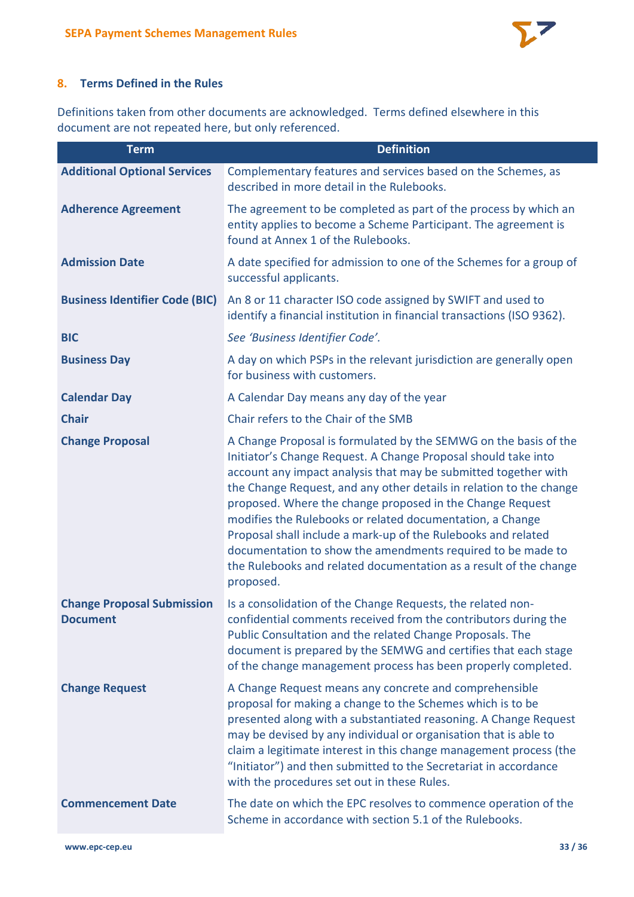

# **8. Terms Defined in the Rules**

Definitions taken from other documents are acknowledged. Terms defined elsewhere in this document are not repeated here, but only referenced.

| <b>Term</b>                                          | <b>Definition</b>                                                                                                                                                                                                                                                                                                                                                                                                                                                                                                                                                                                                        |
|------------------------------------------------------|--------------------------------------------------------------------------------------------------------------------------------------------------------------------------------------------------------------------------------------------------------------------------------------------------------------------------------------------------------------------------------------------------------------------------------------------------------------------------------------------------------------------------------------------------------------------------------------------------------------------------|
| <b>Additional Optional Services</b>                  | Complementary features and services based on the Schemes, as<br>described in more detail in the Rulebooks.                                                                                                                                                                                                                                                                                                                                                                                                                                                                                                               |
| <b>Adherence Agreement</b>                           | The agreement to be completed as part of the process by which an<br>entity applies to become a Scheme Participant. The agreement is<br>found at Annex 1 of the Rulebooks.                                                                                                                                                                                                                                                                                                                                                                                                                                                |
| <b>Admission Date</b>                                | A date specified for admission to one of the Schemes for a group of<br>successful applicants.                                                                                                                                                                                                                                                                                                                                                                                                                                                                                                                            |
| <b>Business Identifier Code (BIC)</b>                | An 8 or 11 character ISO code assigned by SWIFT and used to<br>identify a financial institution in financial transactions (ISO 9362).                                                                                                                                                                                                                                                                                                                                                                                                                                                                                    |
| <b>BIC</b>                                           | See 'Business Identifier Code'.                                                                                                                                                                                                                                                                                                                                                                                                                                                                                                                                                                                          |
| <b>Business Day</b>                                  | A day on which PSPs in the relevant jurisdiction are generally open<br>for business with customers.                                                                                                                                                                                                                                                                                                                                                                                                                                                                                                                      |
| <b>Calendar Day</b>                                  | A Calendar Day means any day of the year                                                                                                                                                                                                                                                                                                                                                                                                                                                                                                                                                                                 |
| <b>Chair</b>                                         | Chair refers to the Chair of the SMB                                                                                                                                                                                                                                                                                                                                                                                                                                                                                                                                                                                     |
| <b>Change Proposal</b>                               | A Change Proposal is formulated by the SEMWG on the basis of the<br>Initiator's Change Request. A Change Proposal should take into<br>account any impact analysis that may be submitted together with<br>the Change Request, and any other details in relation to the change<br>proposed. Where the change proposed in the Change Request<br>modifies the Rulebooks or related documentation, a Change<br>Proposal shall include a mark-up of the Rulebooks and related<br>documentation to show the amendments required to be made to<br>the Rulebooks and related documentation as a result of the change<br>proposed. |
| <b>Change Proposal Submission</b><br><b>Document</b> | Is a consolidation of the Change Requests, the related non-<br>confidential comments received from the contributors during the<br>Public Consultation and the related Change Proposals. The<br>document is prepared by the SEMWG and certifies that each stage<br>of the change management process has been properly completed.                                                                                                                                                                                                                                                                                          |
| <b>Change Request</b>                                | A Change Request means any concrete and comprehensible<br>proposal for making a change to the Schemes which is to be<br>presented along with a substantiated reasoning. A Change Request<br>may be devised by any individual or organisation that is able to<br>claim a legitimate interest in this change management process (the<br>"Initiator") and then submitted to the Secretariat in accordance<br>with the procedures set out in these Rules.                                                                                                                                                                    |
| <b>Commencement Date</b>                             | The date on which the EPC resolves to commence operation of the<br>Scheme in accordance with section 5.1 of the Rulebooks.                                                                                                                                                                                                                                                                                                                                                                                                                                                                                               |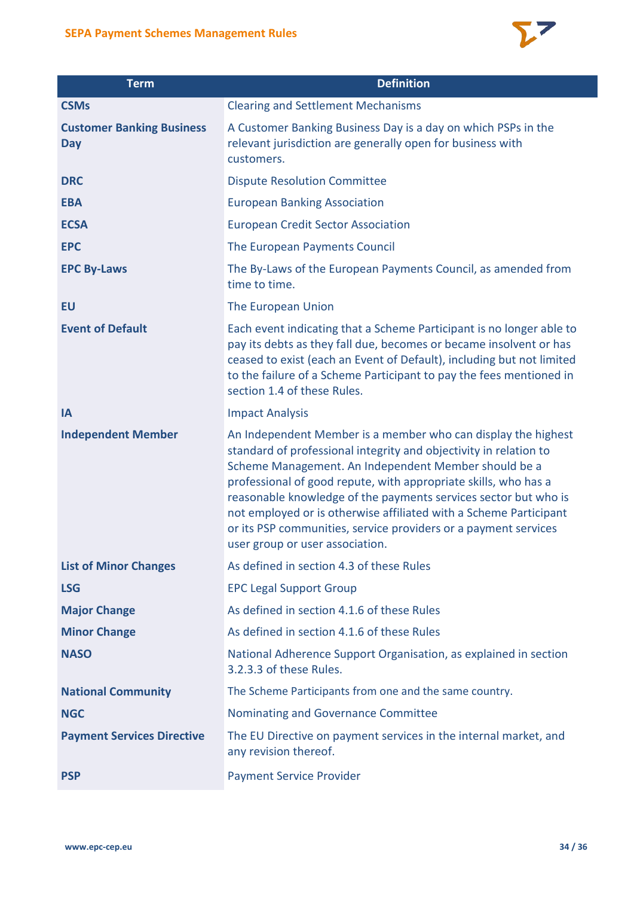

| <b>SEPA Payment Schemes Management Rules</b>   |                                                                                                                                                                                                                                                                                                                                                                                                                                                                                                             |  |
|------------------------------------------------|-------------------------------------------------------------------------------------------------------------------------------------------------------------------------------------------------------------------------------------------------------------------------------------------------------------------------------------------------------------------------------------------------------------------------------------------------------------------------------------------------------------|--|
| <b>Term</b>                                    | <b>Definition</b>                                                                                                                                                                                                                                                                                                                                                                                                                                                                                           |  |
| <b>CSMs</b>                                    | <b>Clearing and Settlement Mechanisms</b>                                                                                                                                                                                                                                                                                                                                                                                                                                                                   |  |
| <b>Customer Banking Business</b><br><b>Day</b> | A Customer Banking Business Day is a day on which PSPs in the<br>relevant jurisdiction are generally open for business with<br>customers.                                                                                                                                                                                                                                                                                                                                                                   |  |
| <b>DRC</b>                                     | <b>Dispute Resolution Committee</b>                                                                                                                                                                                                                                                                                                                                                                                                                                                                         |  |
| <b>EBA</b>                                     | <b>European Banking Association</b>                                                                                                                                                                                                                                                                                                                                                                                                                                                                         |  |
| <b>ECSA</b>                                    | <b>European Credit Sector Association</b>                                                                                                                                                                                                                                                                                                                                                                                                                                                                   |  |
| <b>EPC</b>                                     | The European Payments Council                                                                                                                                                                                                                                                                                                                                                                                                                                                                               |  |
| <b>EPC By-Laws</b>                             | The By-Laws of the European Payments Council, as amended from<br>time to time.                                                                                                                                                                                                                                                                                                                                                                                                                              |  |
| EU                                             | The European Union                                                                                                                                                                                                                                                                                                                                                                                                                                                                                          |  |
| <b>Event of Default</b>                        | Each event indicating that a Scheme Participant is no longer able to<br>pay its debts as they fall due, becomes or became insolvent or has<br>ceased to exist (each an Event of Default), including but not limited<br>to the failure of a Scheme Participant to pay the fees mentioned in<br>section 1.4 of these Rules.                                                                                                                                                                                   |  |
| IA                                             | <b>Impact Analysis</b>                                                                                                                                                                                                                                                                                                                                                                                                                                                                                      |  |
| <b>Independent Member</b>                      | An Independent Member is a member who can display the highest<br>standard of professional integrity and objectivity in relation to<br>Scheme Management. An Independent Member should be a<br>professional of good repute, with appropriate skills, who has a<br>reasonable knowledge of the payments services sector but who is<br>not employed or is otherwise affiliated with a Scheme Participant<br>or its PSP communities, service providers or a payment services<br>user group or user association. |  |
| <b>List of Minor Changes</b>                   | As defined in section 4.3 of these Rules                                                                                                                                                                                                                                                                                                                                                                                                                                                                    |  |
| <b>LSG</b>                                     | <b>EPC Legal Support Group</b>                                                                                                                                                                                                                                                                                                                                                                                                                                                                              |  |
| <b>Major Change</b>                            | As defined in section 4.1.6 of these Rules                                                                                                                                                                                                                                                                                                                                                                                                                                                                  |  |
| <b>Minor Change</b>                            | As defined in section 4.1.6 of these Rules                                                                                                                                                                                                                                                                                                                                                                                                                                                                  |  |
| <b>NASO</b>                                    | National Adherence Support Organisation, as explained in section<br>3.2.3.3 of these Rules.                                                                                                                                                                                                                                                                                                                                                                                                                 |  |
| <b>National Community</b>                      | The Scheme Participants from one and the same country.                                                                                                                                                                                                                                                                                                                                                                                                                                                      |  |
| <b>NGC</b>                                     | Nominating and Governance Committee                                                                                                                                                                                                                                                                                                                                                                                                                                                                         |  |
| <b>Payment Services Directive</b>              | The EU Directive on payment services in the internal market, and<br>any revision thereof.                                                                                                                                                                                                                                                                                                                                                                                                                   |  |
| <b>PSP</b>                                     | <b>Payment Service Provider</b>                                                                                                                                                                                                                                                                                                                                                                                                                                                                             |  |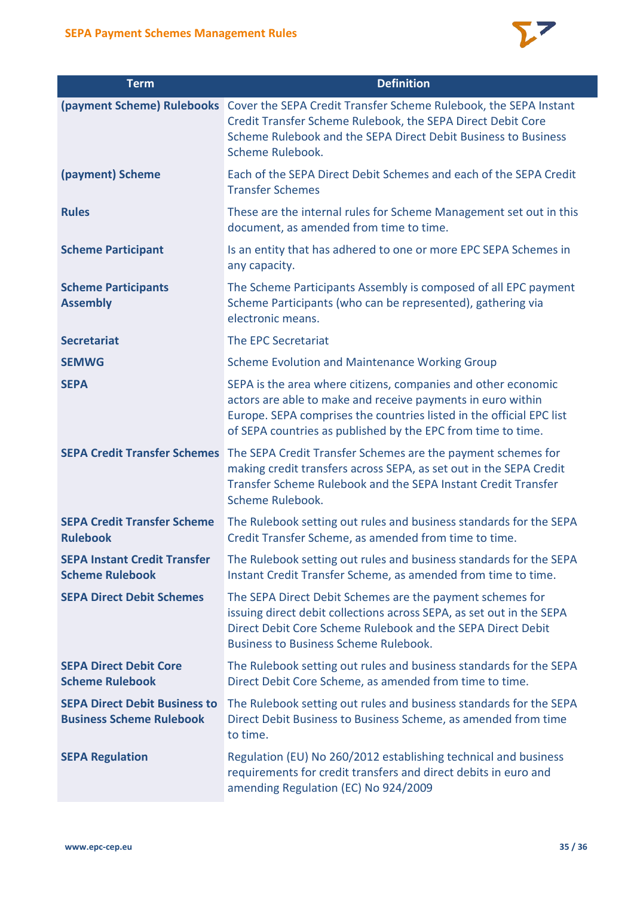

| <b>Term</b>                                                             | <b>Definition</b>                                                                                                                                                                                                                                                    |
|-------------------------------------------------------------------------|----------------------------------------------------------------------------------------------------------------------------------------------------------------------------------------------------------------------------------------------------------------------|
|                                                                         | (payment Scheme) Rulebooks Cover the SEPA Credit Transfer Scheme Rulebook, the SEPA Instant<br>Credit Transfer Scheme Rulebook, the SEPA Direct Debit Core<br>Scheme Rulebook and the SEPA Direct Debit Business to Business<br>Scheme Rulebook.                     |
| (payment) Scheme                                                        | Each of the SEPA Direct Debit Schemes and each of the SEPA Credit<br><b>Transfer Schemes</b>                                                                                                                                                                         |
| <b>Rules</b>                                                            | These are the internal rules for Scheme Management set out in this<br>document, as amended from time to time.                                                                                                                                                        |
| <b>Scheme Participant</b>                                               | Is an entity that has adhered to one or more EPC SEPA Schemes in<br>any capacity.                                                                                                                                                                                    |
| <b>Scheme Participants</b><br><b>Assembly</b>                           | The Scheme Participants Assembly is composed of all EPC payment<br>Scheme Participants (who can be represented), gathering via<br>electronic means.                                                                                                                  |
| <b>Secretariat</b>                                                      | The EPC Secretariat                                                                                                                                                                                                                                                  |
| <b>SEMWG</b>                                                            | <b>Scheme Evolution and Maintenance Working Group</b>                                                                                                                                                                                                                |
| <b>SEPA</b>                                                             | SEPA is the area where citizens, companies and other economic<br>actors are able to make and receive payments in euro within<br>Europe. SEPA comprises the countries listed in the official EPC list<br>of SEPA countries as published by the EPC from time to time. |
| <b>SEPA Credit Transfer Schemes</b>                                     | The SEPA Credit Transfer Schemes are the payment schemes for<br>making credit transfers across SEPA, as set out in the SEPA Credit<br>Transfer Scheme Rulebook and the SEPA Instant Credit Transfer<br>Scheme Rulebook.                                              |
| <b>SEPA Credit Transfer Scheme</b><br><b>Rulebook</b>                   | The Rulebook setting out rules and business standards for the SEPA<br>Credit Transfer Scheme, as amended from time to time.                                                                                                                                          |
| <b>SEPA Instant Credit Transfer</b><br><b>Scheme Rulebook</b>           | The Rulebook setting out rules and business standards for the SEPA<br>Instant Credit Transfer Scheme, as amended from time to time.                                                                                                                                  |
| <b>SEPA Direct Debit Schemes</b>                                        | The SEPA Direct Debit Schemes are the payment schemes for<br>issuing direct debit collections across SEPA, as set out in the SEPA<br>Direct Debit Core Scheme Rulebook and the SEPA Direct Debit<br><b>Business to Business Scheme Rulebook.</b>                     |
| <b>SEPA Direct Debit Core</b><br><b>Scheme Rulebook</b>                 | The Rulebook setting out rules and business standards for the SEPA<br>Direct Debit Core Scheme, as amended from time to time.                                                                                                                                        |
| <b>SEPA Direct Debit Business to</b><br><b>Business Scheme Rulebook</b> | The Rulebook setting out rules and business standards for the SEPA<br>Direct Debit Business to Business Scheme, as amended from time<br>to time.                                                                                                                     |
| <b>SEPA Regulation</b>                                                  | Regulation (EU) No 260/2012 establishing technical and business<br>requirements for credit transfers and direct debits in euro and<br>amending Regulation (EC) No 924/2009                                                                                           |